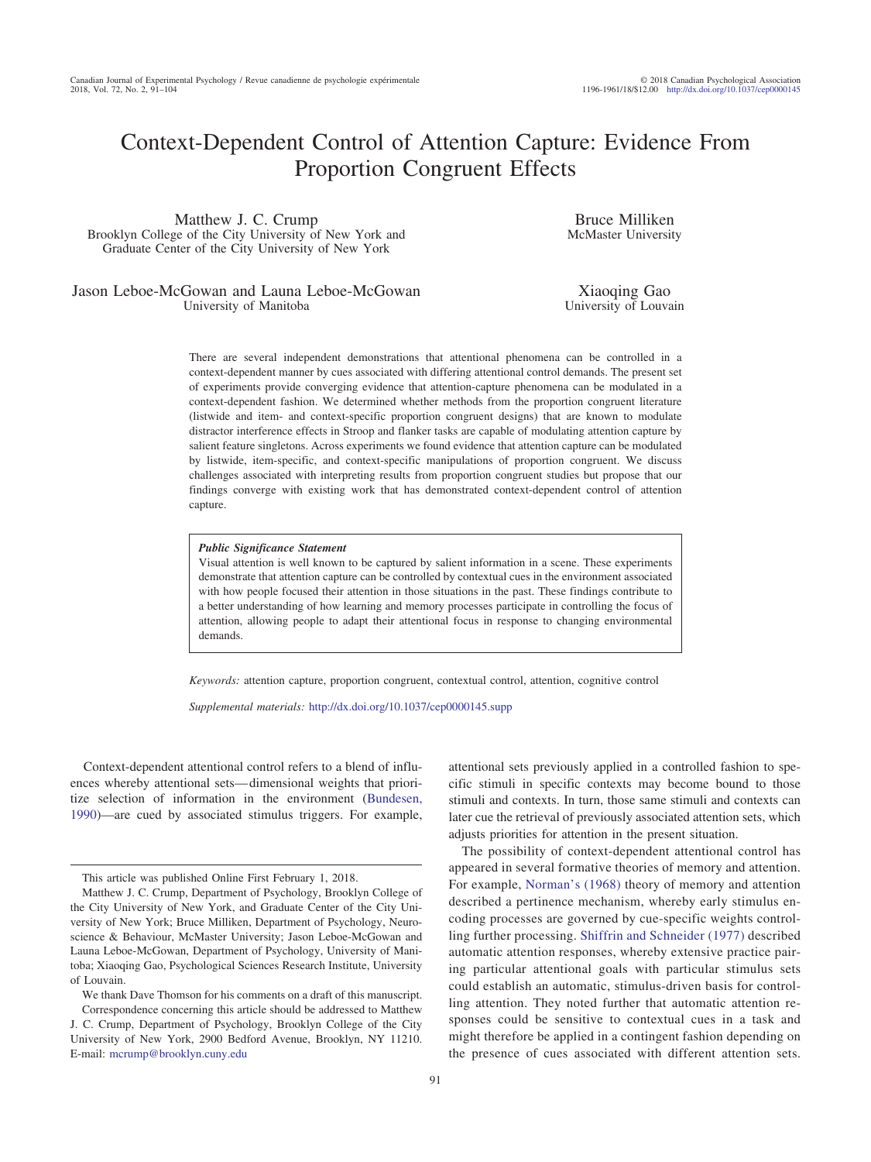# Context-Dependent Control of Attention Capture: Evidence From Proportion Congruent Effects

Matthew J. C. Crump Brooklyn College of the City University of New York and Graduate Center of the City University of New York

Jason Leboe-McGowan and Launa Leboe-McGowan University of Manitoba

Bruce Milliken McMaster University

Xiaoqing Gao University of Louvain

There are several independent demonstrations that attentional phenomena can be controlled in a context-dependent manner by cues associated with differing attentional control demands. The present set of experiments provide converging evidence that attention-capture phenomena can be modulated in a context-dependent fashion. We determined whether methods from the proportion congruent literature (listwide and item- and context-specific proportion congruent designs) that are known to modulate distractor interference effects in Stroop and flanker tasks are capable of modulating attention capture by salient feature singletons. Across experiments we found evidence that attention capture can be modulated by listwide, item-specific, and context-specific manipulations of proportion congruent. We discuss challenges associated with interpreting results from proportion congruent studies but propose that our findings converge with existing work that has demonstrated context-dependent control of attention capture.

#### *Public Significance Statement*

Visual attention is well known to be captured by salient information in a scene. These experiments demonstrate that attention capture can be controlled by contextual cues in the environment associated with how people focused their attention in those situations in the past. These findings contribute to a better understanding of how learning and memory processes participate in controlling the focus of attention, allowing people to adapt their attentional focus in response to changing environmental demands.

*Keywords:* attention capture, proportion congruent, contextual control, attention, cognitive control

*Supplemental materials:* http://dx.doi.org[/10.1037/cep0000145.supp](http://dx.doi.org/10.1037/cep0000145.supp)

Context-dependent attentional control refers to a blend of influences whereby attentional sets— dimensional weights that prioritize selection of information in the environment [\(Bundesen,](#page-12-0) [1990\)](#page-12-0)—are cued by associated stimulus triggers. For example,

91

attentional sets previously applied in a controlled fashion to specific stimuli in specific contexts may become bound to those stimuli and contexts. In turn, those same stimuli and contexts can later cue the retrieval of previously associated attention sets, which adjusts priorities for attention in the present situation.

The possibility of context-dependent attentional control has appeared in several formative theories of memory and attention. For example, [Norman's \(1968\)](#page-13-0) theory of memory and attention described a pertinence mechanism, whereby early stimulus encoding processes are governed by cue-specific weights controlling further processing. [Shiffrin and Schneider \(1977\)](#page-13-1) described automatic attention responses, whereby extensive practice pairing particular attentional goals with particular stimulus sets could establish an automatic, stimulus-driven basis for controlling attention. They noted further that automatic attention responses could be sensitive to contextual cues in a task and might therefore be applied in a contingent fashion depending on the presence of cues associated with different attention sets.

This article was published Online First February 1, 2018.

Matthew J. C. Crump, Department of Psychology, Brooklyn College of the City University of New York, and Graduate Center of the City University of New York; Bruce Milliken, Department of Psychology, Neuroscience & Behaviour, McMaster University; Jason Leboe-McGowan and Launa Leboe-McGowan, Department of Psychology, University of Manitoba; Xiaoqing Gao, Psychological Sciences Research Institute, University of Louvain.

We thank Dave Thomson for his comments on a draft of this manuscript. Correspondence concerning this article should be addressed to Matthew

J. C. Crump, Department of Psychology, Brooklyn College of the City University of New York, 2900 Bedford Avenue, Brooklyn, NY 11210. E-mail: [mcrump@brooklyn.cuny.edu](mailto:mcrump@brooklyn.cuny.edu)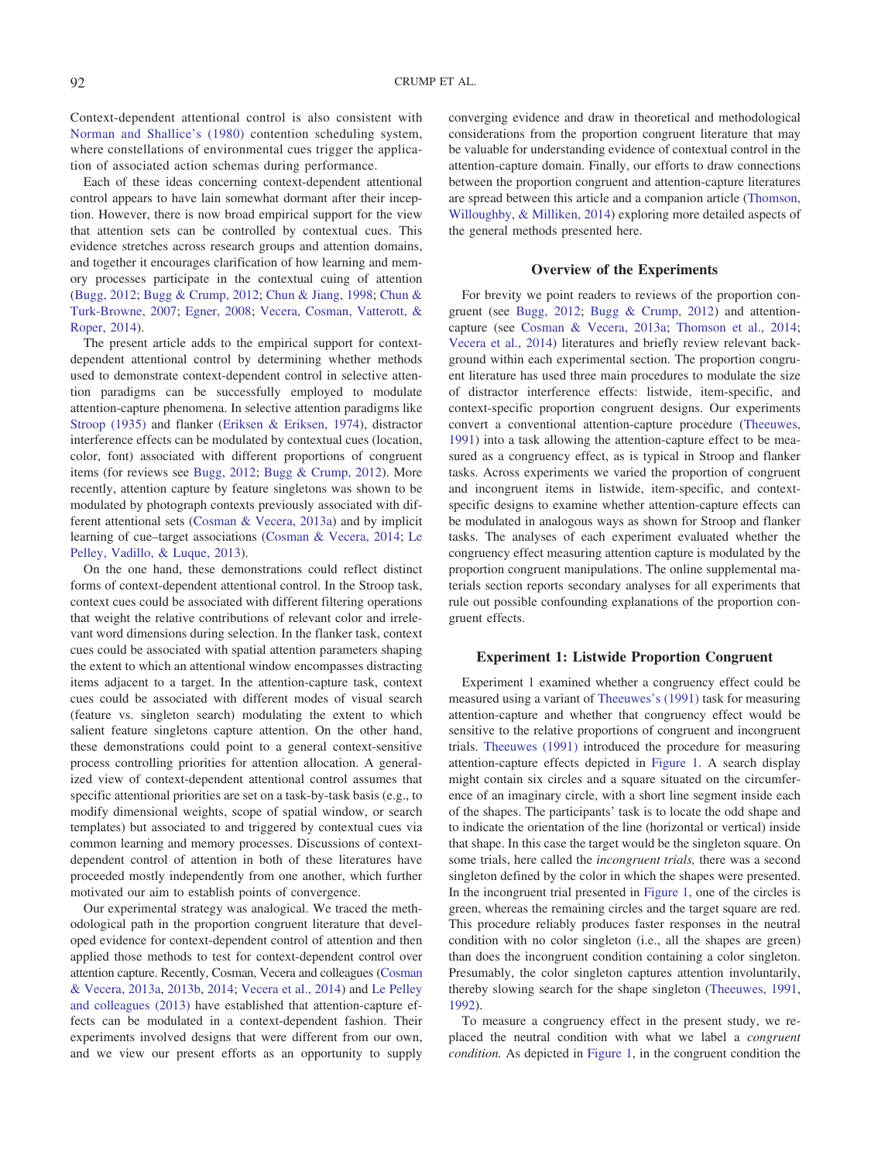Context-dependent attentional control is also consistent with [Norman and Shallice's \(1980\)](#page-13-2) contention scheduling system, where constellations of environmental cues trigger the application of associated action schemas during performance.

Each of these ideas concerning context-dependent attentional control appears to have lain somewhat dormant after their inception. However, there is now broad empirical support for the view that attention sets can be controlled by contextual cues. This evidence stretches across research groups and attention domains, and together it encourages clarification of how learning and memory processes participate in the contextual cuing of attention [\(Bugg, 2012;](#page-12-1) [Bugg & Crump, 2012;](#page-12-2) [Chun & Jiang, 1998;](#page-12-3) [Chun &](#page-12-4) [Turk-Browne, 2007;](#page-12-4) [Egner, 2008;](#page-12-5) [Vecera, Cosman, Vatterott, &](#page-13-3) [Roper, 2014\)](#page-13-3).

The present article adds to the empirical support for contextdependent attentional control by determining whether methods used to demonstrate context-dependent control in selective attention paradigms can be successfully employed to modulate attention-capture phenomena. In selective attention paradigms like [Stroop \(1935\)](#page-13-4) and flanker [\(Eriksen & Eriksen, 1974\)](#page-12-6), distractor interference effects can be modulated by contextual cues (location, color, font) associated with different proportions of congruent items (for reviews see [Bugg, 2012;](#page-12-1) [Bugg & Crump, 2012\)](#page-12-2). More recently, attention capture by feature singletons was shown to be modulated by photograph contexts previously associated with different attentional sets [\(Cosman & Vecera, 2013a\)](#page-12-7) and by implicit learning of cue–target associations [\(Cosman & Vecera, 2014;](#page-12-8) [Le](#page-13-5) [Pelley, Vadillo, & Luque, 2013\)](#page-13-5).

On the one hand, these demonstrations could reflect distinct forms of context-dependent attentional control. In the Stroop task, context cues could be associated with different filtering operations that weight the relative contributions of relevant color and irrelevant word dimensions during selection. In the flanker task, context cues could be associated with spatial attention parameters shaping the extent to which an attentional window encompasses distracting items adjacent to a target. In the attention-capture task, context cues could be associated with different modes of visual search (feature vs. singleton search) modulating the extent to which salient feature singletons capture attention. On the other hand, these demonstrations could point to a general context-sensitive process controlling priorities for attention allocation. A generalized view of context-dependent attentional control assumes that specific attentional priorities are set on a task-by-task basis (e.g., to modify dimensional weights, scope of spatial window, or search templates) but associated to and triggered by contextual cues via common learning and memory processes. Discussions of contextdependent control of attention in both of these literatures have proceeded mostly independently from one another, which further motivated our aim to establish points of convergence.

Our experimental strategy was analogical. We traced the methodological path in the proportion congruent literature that developed evidence for context-dependent control of attention and then applied those methods to test for context-dependent control over attention capture. Recently, Cosman, Vecera and colleagues [\(Cosman](#page-12-7) [& Vecera, 2013a,](#page-12-7) [2013b,](#page-12-9) [2014;](#page-12-8) [Vecera et al., 2014\)](#page-13-3) and [Le Pelley](#page-13-5) [and colleagues \(2013\)](#page-13-5) have established that attention-capture effects can be modulated in a context-dependent fashion. Their experiments involved designs that were different from our own, and we view our present efforts as an opportunity to supply converging evidence and draw in theoretical and methodological considerations from the proportion congruent literature that may be valuable for understanding evidence of contextual control in the attention-capture domain. Finally, our efforts to draw connections between the proportion congruent and attention-capture literatures are spread between this article and a companion article [\(Thomson,](#page-13-6) [Willoughby, & Milliken, 2014\)](#page-13-6) exploring more detailed aspects of the general methods presented here.

#### **Overview of the Experiments**

For brevity we point readers to reviews of the proportion congruent (see [Bugg, 2012;](#page-12-1) [Bugg & Crump, 2012\)](#page-12-2) and attentioncapture (see [Cosman & Vecera, 2013a;](#page-12-7) [Thomson et al., 2014;](#page-13-6) [Vecera et al., 2014\)](#page-13-3) literatures and briefly review relevant background within each experimental section. The proportion congruent literature has used three main procedures to modulate the size of distractor interference effects: listwide, item-specific, and context-specific proportion congruent designs. Our experiments convert a conventional attention-capture procedure [\(Theeuwes,](#page-13-7) [1991\)](#page-13-7) into a task allowing the attention-capture effect to be measured as a congruency effect, as is typical in Stroop and flanker tasks. Across experiments we varied the proportion of congruent and incongruent items in listwide, item-specific, and contextspecific designs to examine whether attention-capture effects can be modulated in analogous ways as shown for Stroop and flanker tasks. The analyses of each experiment evaluated whether the congruency effect measuring attention capture is modulated by the proportion congruent manipulations. The online supplemental materials section reports secondary analyses for all experiments that rule out possible confounding explanations of the proportion congruent effects.

#### **Experiment 1: Listwide Proportion Congruent**

Experiment 1 examined whether a congruency effect could be measured using a variant of [Theeuwes's \(1991\)](#page-13-7) task for measuring attention-capture and whether that congruency effect would be sensitive to the relative proportions of congruent and incongruent trials. [Theeuwes \(1991\)](#page-13-7) introduced the procedure for measuring attention-capture effects depicted in [Figure 1.](#page-2-0) A search display might contain six circles and a square situated on the circumference of an imaginary circle, with a short line segment inside each of the shapes. The participants' task is to locate the odd shape and to indicate the orientation of the line (horizontal or vertical) inside that shape. In this case the target would be the singleton square. On some trials, here called the *incongruent trials,* there was a second singleton defined by the color in which the shapes were presented. In the incongruent trial presented in [Figure 1,](#page-2-0) one of the circles is green, whereas the remaining circles and the target square are red. This procedure reliably produces faster responses in the neutral condition with no color singleton (i.e., all the shapes are green) than does the incongruent condition containing a color singleton. Presumably, the color singleton captures attention involuntarily, thereby slowing search for the shape singleton [\(Theeuwes, 1991,](#page-13-7) [1992\)](#page-13-8).

To measure a congruency effect in the present study, we replaced the neutral condition with what we label a *congruent condition.* As depicted in [Figure 1,](#page-2-0) in the congruent condition the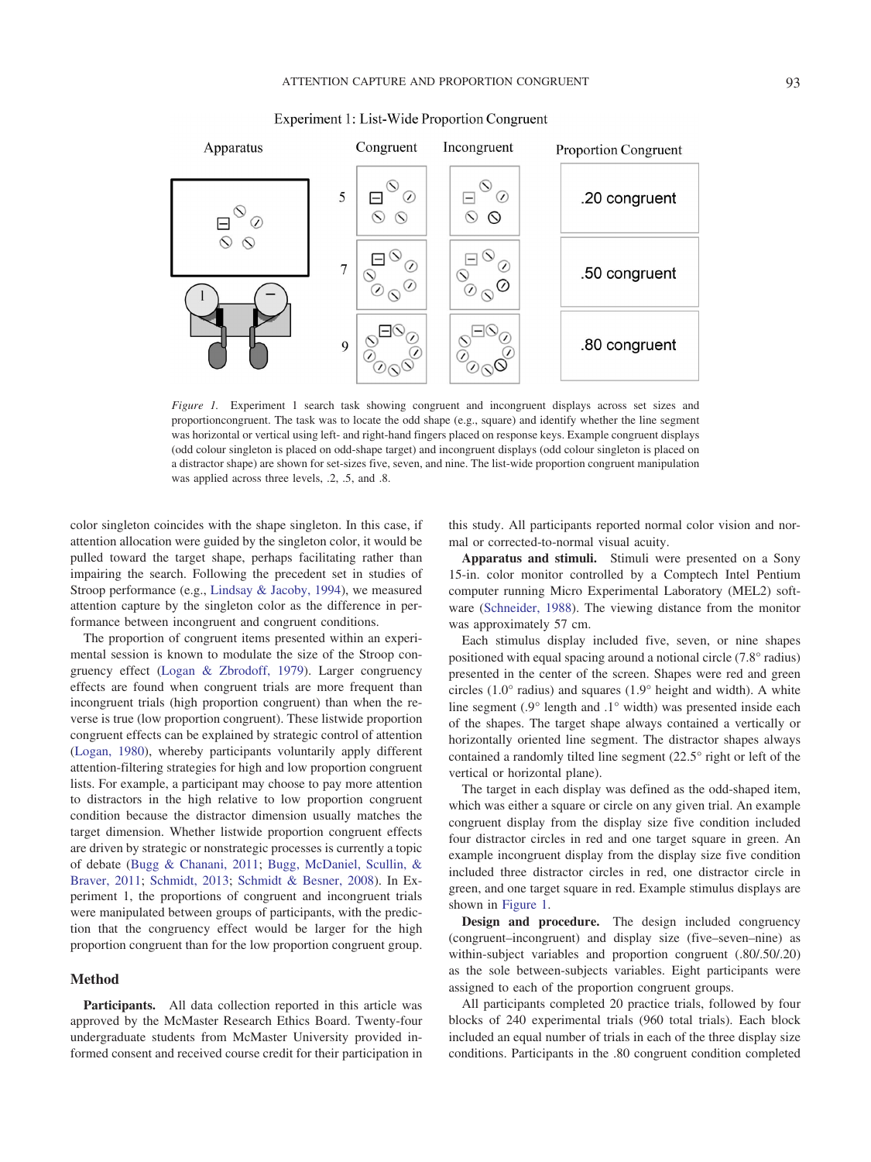

Experiment 1: List-Wide Proportion Congruent

<span id="page-2-0"></span>*Figure 1.* Experiment 1 search task showing congruent and incongruent displays across set sizes and proportioncongruent. The task was to locate the odd shape (e.g., square) and identify whether the line segment was horizontal or vertical using left- and right-hand fingers placed on response keys. Example congruent displays (odd colour singleton is placed on odd-shape target) and incongruent displays (odd colour singleton is placed on a distractor shape) are shown for set-sizes five, seven, and nine. The list-wide proportion congruent manipulation was applied across three levels, .2, .5, and .8.

color singleton coincides with the shape singleton. In this case, if attention allocation were guided by the singleton color, it would be pulled toward the target shape, perhaps facilitating rather than impairing the search. Following the precedent set in studies of Stroop performance (e.g., [Lindsay & Jacoby, 1994\)](#page-13-9), we measured attention capture by the singleton color as the difference in performance between incongruent and congruent conditions.

The proportion of congruent items presented within an experimental session is known to modulate the size of the Stroop congruency effect [\(Logan & Zbrodoff, 1979\)](#page-13-10). Larger congruency effects are found when congruent trials are more frequent than incongruent trials (high proportion congruent) than when the reverse is true (low proportion congruent). These listwide proportion congruent effects can be explained by strategic control of attention [\(Logan, 1980\)](#page-13-11), whereby participants voluntarily apply different attention-filtering strategies for high and low proportion congruent lists. For example, a participant may choose to pay more attention to distractors in the high relative to low proportion congruent condition because the distractor dimension usually matches the target dimension. Whether listwide proportion congruent effects are driven by strategic or nonstrategic processes is currently a topic of debate [\(Bugg & Chanani, 2011;](#page-12-10) [Bugg, McDaniel, Scullin, &](#page-12-11) [Braver, 2011;](#page-12-11) [Schmidt, 2013;](#page-13-12) [Schmidt & Besner, 2008\)](#page-13-13). In Experiment 1, the proportions of congruent and incongruent trials were manipulated between groups of participants, with the prediction that the congruency effect would be larger for the high proportion congruent than for the low proportion congruent group.

#### **Method**

**Participants.** All data collection reported in this article was approved by the McMaster Research Ethics Board. Twenty-four undergraduate students from McMaster University provided informed consent and received course credit for their participation in

this study. All participants reported normal color vision and normal or corrected-to-normal visual acuity.

**Apparatus and stimuli.** Stimuli were presented on a Sony 15-in. color monitor controlled by a Comptech Intel Pentium computer running Micro Experimental Laboratory (MEL2) software [\(Schneider, 1988\)](#page-13-14). The viewing distance from the monitor was approximately 57 cm.

Each stimulus display included five, seven, or nine shapes positioned with equal spacing around a notional circle (7.8° radius) presented in the center of the screen. Shapes were red and green circles (1.0° radius) and squares (1.9° height and width). A white line segment (.9° length and .1° width) was presented inside each of the shapes. The target shape always contained a vertically or horizontally oriented line segment. The distractor shapes always contained a randomly tilted line segment (22.5° right or left of the vertical or horizontal plane).

The target in each display was defined as the odd-shaped item, which was either a square or circle on any given trial. An example congruent display from the display size five condition included four distractor circles in red and one target square in green. An example incongruent display from the display size five condition included three distractor circles in red, one distractor circle in green, and one target square in red. Example stimulus displays are shown in [Figure 1.](#page-2-0)

**Design and procedure.** The design included congruency (congruent–incongruent) and display size (five–seven–nine) as within-subject variables and proportion congruent (.80/.50/.20) as the sole between-subjects variables. Eight participants were assigned to each of the proportion congruent groups.

All participants completed 20 practice trials, followed by four blocks of 240 experimental trials (960 total trials). Each block included an equal number of trials in each of the three display size conditions. Participants in the .80 congruent condition completed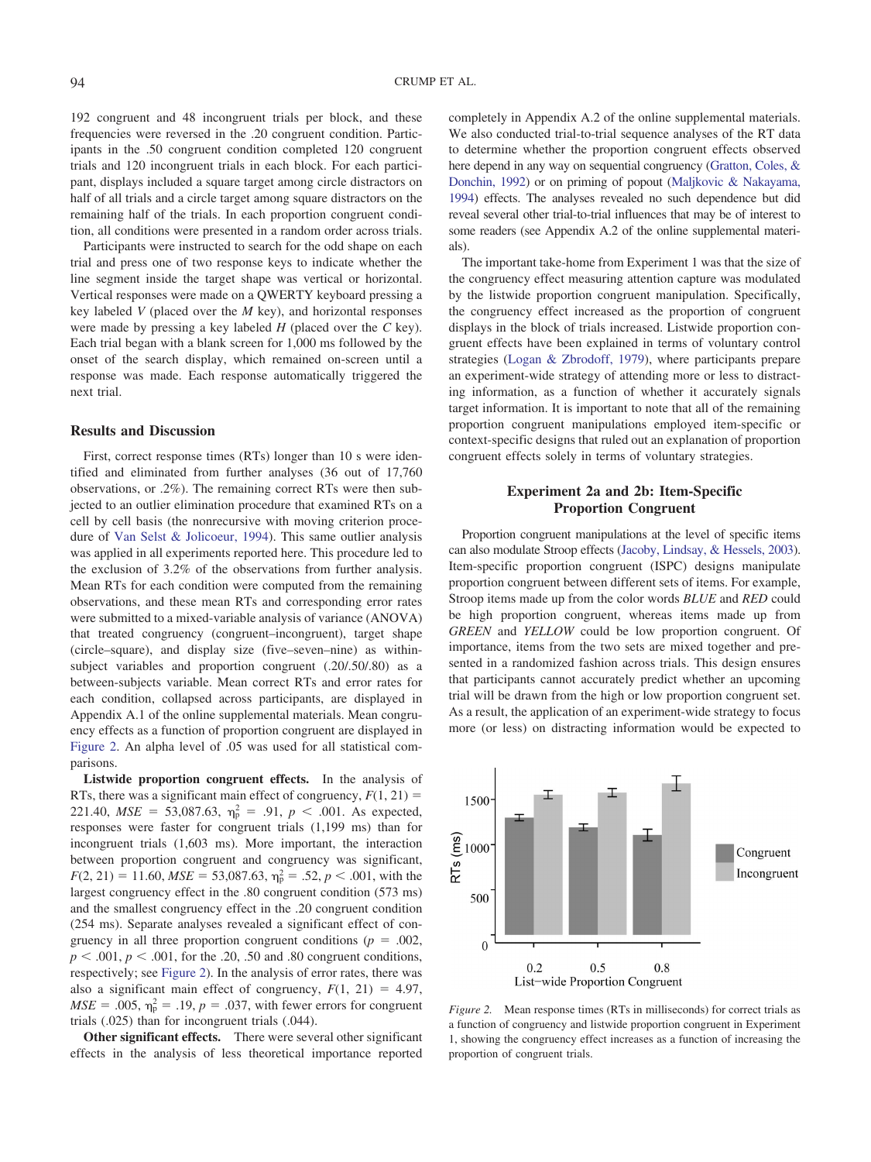192 congruent and 48 incongruent trials per block, and these frequencies were reversed in the .20 congruent condition. Participants in the .50 congruent condition completed 120 congruent trials and 120 incongruent trials in each block. For each participant, displays included a square target among circle distractors on half of all trials and a circle target among square distractors on the remaining half of the trials. In each proportion congruent condition, all conditions were presented in a random order across trials.

Participants were instructed to search for the odd shape on each trial and press one of two response keys to indicate whether the line segment inside the target shape was vertical or horizontal. Vertical responses were made on a QWERTY keyboard pressing a key labeled *V* (placed over the *M* key), and horizontal responses were made by pressing a key labeled *H* (placed over the *C* key). Each trial began with a blank screen for 1,000 ms followed by the onset of the search display, which remained on-screen until a response was made. Each response automatically triggered the next trial.

#### **Results and Discussion**

First, correct response times (RTs) longer than 10 s were identified and eliminated from further analyses (36 out of 17,760 observations, or .2%). The remaining correct RTs were then subjected to an outlier elimination procedure that examined RTs on a cell by cell basis (the nonrecursive with moving criterion procedure of [Van Selst & Jolicoeur, 1994\)](#page-13-15). This same outlier analysis was applied in all experiments reported here. This procedure led to the exclusion of 3.2% of the observations from further analysis. Mean RTs for each condition were computed from the remaining observations, and these mean RTs and corresponding error rates were submitted to a mixed-variable analysis of variance (ANOVA) that treated congruency (congruent–incongruent), target shape (circle–square), and display size (five–seven–nine) as withinsubject variables and proportion congruent (.20/.50/.80) as a between-subjects variable. Mean correct RTs and error rates for each condition, collapsed across participants, are displayed in Appendix A.1 of the online supplemental materials. Mean congruency effects as a function of proportion congruent are displayed in [Figure 2.](#page-3-0) An alpha level of .05 was used for all statistical comparisons.

**Listwide proportion congruent effects.** In the analysis of RTs, there was a significant main effect of congruency,  $F(1, 21) =$ 221.40,  $MSE = 53,087.63$ ,  $\eta_p^2 = .91$ ,  $p < .001$ . As expected, responses were faster for congruent trials (1,199 ms) than for incongruent trials (1,603 ms). More important, the interaction between proportion congruent and congruency was significant,  $F(2, 21) = 11.60, MSE = 53,087.63, \eta_p^2 = .52, p < .001$ , with the largest congruency effect in the .80 congruent condition (573 ms) and the smallest congruency effect in the .20 congruent condition (254 ms). Separate analyses revealed a significant effect of congruency in all three proportion congruent conditions ( $p = .002$ ,  $p \leq .001$ ,  $p \leq .001$ , for the .20, .50 and .80 congruent conditions, respectively; see [Figure 2\)](#page-3-0). In the analysis of error rates, there was also a significant main effect of congruency,  $F(1, 21) = 4.97$ ,  $MSE = .005$ ,  $\eta_p^2 = .19$ ,  $p = .037$ , with fewer errors for congruent trials (.025) than for incongruent trials (.044).

**Other significant effects.** There were several other significant effects in the analysis of less theoretical importance reported completely in Appendix A.2 of the online supplemental materials. We also conducted trial-to-trial sequence analyses of the RT data to determine whether the proportion congruent effects observed here depend in any way on sequential congruency [\(Gratton, Coles, &](#page-12-12) [Donchin, 1992\)](#page-12-12) or on priming of popout [\(Maljkovic & Nakayama,](#page-13-16) [1994\)](#page-13-16) effects. The analyses revealed no such dependence but did reveal several other trial-to-trial influences that may be of interest to some readers (see Appendix A.2 of the online supplemental materials).

The important take-home from Experiment 1 was that the size of the congruency effect measuring attention capture was modulated by the listwide proportion congruent manipulation. Specifically, the congruency effect increased as the proportion of congruent displays in the block of trials increased. Listwide proportion congruent effects have been explained in terms of voluntary control strategies [\(Logan & Zbrodoff, 1979\)](#page-13-10), where participants prepare an experiment-wide strategy of attending more or less to distracting information, as a function of whether it accurately signals target information. It is important to note that all of the remaining proportion congruent manipulations employed item-specific or context-specific designs that ruled out an explanation of proportion congruent effects solely in terms of voluntary strategies.

# **Experiment 2a and 2b: Item-Specific Proportion Congruent**

Proportion congruent manipulations at the level of specific items can also modulate Stroop effects [\(Jacoby, Lindsay, & Hessels, 2003\)](#page-12-13). Item-specific proportion congruent (ISPC) designs manipulate proportion congruent between different sets of items. For example, Stroop items made up from the color words *BLUE* and *RED* could be high proportion congruent, whereas items made up from *GREEN* and *YELLOW* could be low proportion congruent. Of importance, items from the two sets are mixed together and presented in a randomized fashion across trials. This design ensures that participants cannot accurately predict whether an upcoming trial will be drawn from the high or low proportion congruent set. As a result, the application of an experiment-wide strategy to focus more (or less) on distracting information would be expected to



<span id="page-3-0"></span>*Figure 2.* Mean response times (RTs in milliseconds) for correct trials as a function of congruency and listwide proportion congruent in Experiment 1, showing the congruency effect increases as a function of increasing the proportion of congruent trials.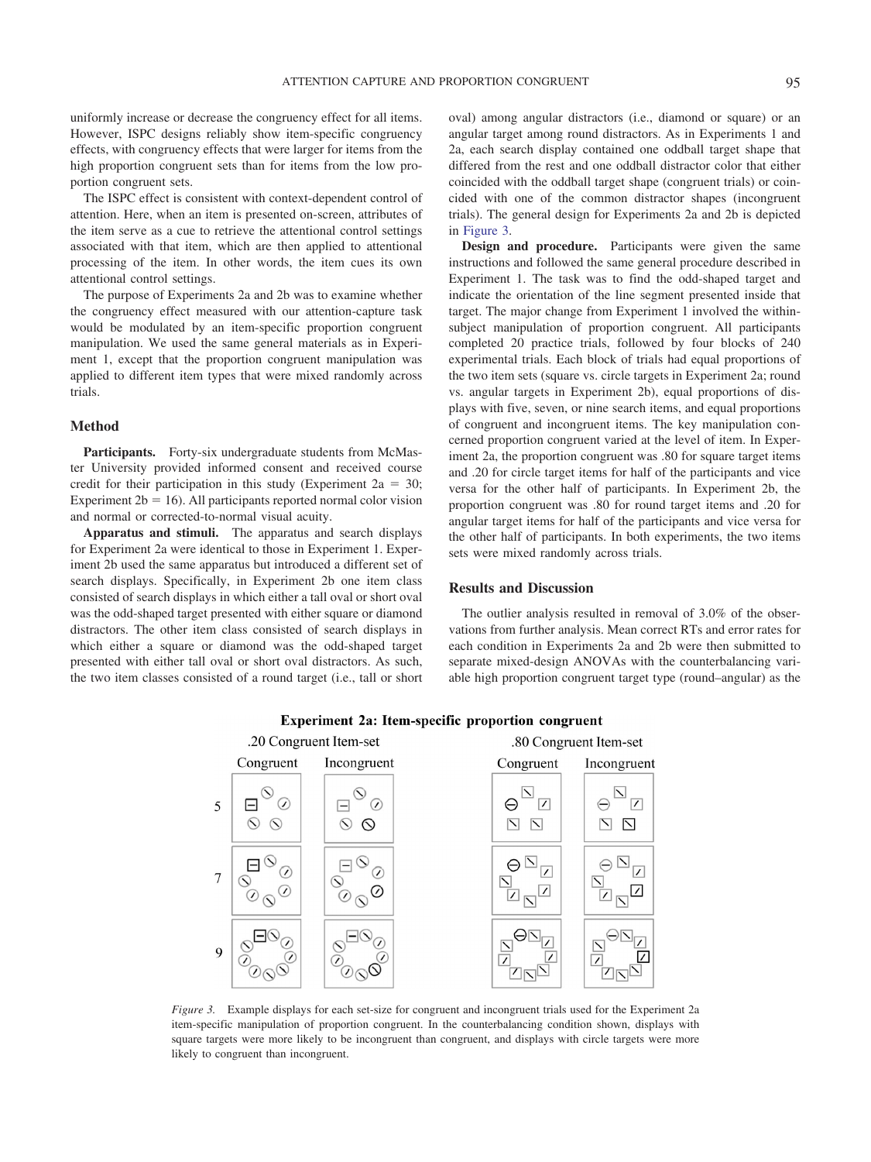uniformly increase or decrease the congruency effect for all items. However, ISPC designs reliably show item-specific congruency effects, with congruency effects that were larger for items from the high proportion congruent sets than for items from the low proportion congruent sets.

The ISPC effect is consistent with context-dependent control of attention. Here, when an item is presented on-screen, attributes of the item serve as a cue to retrieve the attentional control settings associated with that item, which are then applied to attentional processing of the item. In other words, the item cues its own attentional control settings.

The purpose of Experiments 2a and 2b was to examine whether the congruency effect measured with our attention-capture task would be modulated by an item-specific proportion congruent manipulation. We used the same general materials as in Experiment 1, except that the proportion congruent manipulation was applied to different item types that were mixed randomly across trials.

# **Method**

Participants. Forty-six undergraduate students from McMaster University provided informed consent and received course credit for their participation in this study (Experiment  $2a = 30$ ; Experiment  $2b = 16$ ). All participants reported normal color vision and normal or corrected-to-normal visual acuity.

**Apparatus and stimuli.** The apparatus and search displays for Experiment 2a were identical to those in Experiment 1. Experiment 2b used the same apparatus but introduced a different set of search displays. Specifically, in Experiment 2b one item class consisted of search displays in which either a tall oval or short oval was the odd-shaped target presented with either square or diamond distractors. The other item class consisted of search displays in which either a square or diamond was the odd-shaped target presented with either tall oval or short oval distractors. As such, the two item classes consisted of a round target (i.e., tall or short

oval) among angular distractors (i.e., diamond or square) or an angular target among round distractors. As in Experiments 1 and 2a, each search display contained one oddball target shape that differed from the rest and one oddball distractor color that either coincided with the oddball target shape (congruent trials) or coincided with one of the common distractor shapes (incongruent trials). The general design for Experiments 2a and 2b is depicted in [Figure 3.](#page-4-0)

**Design and procedure.** Participants were given the same instructions and followed the same general procedure described in Experiment 1. The task was to find the odd-shaped target and indicate the orientation of the line segment presented inside that target. The major change from Experiment 1 involved the withinsubject manipulation of proportion congruent. All participants completed 20 practice trials, followed by four blocks of 240 experimental trials. Each block of trials had equal proportions of the two item sets (square vs. circle targets in Experiment 2a; round vs. angular targets in Experiment 2b), equal proportions of displays with five, seven, or nine search items, and equal proportions of congruent and incongruent items. The key manipulation concerned proportion congruent varied at the level of item. In Experiment 2a, the proportion congruent was .80 for square target items and .20 for circle target items for half of the participants and vice versa for the other half of participants. In Experiment 2b, the proportion congruent was .80 for round target items and .20 for angular target items for half of the participants and vice versa for the other half of participants. In both experiments, the two items sets were mixed randomly across trials.

### **Results and Discussion**

The outlier analysis resulted in removal of 3.0% of the observations from further analysis. Mean correct RTs and error rates for each condition in Experiments 2a and 2b were then submitted to separate mixed-design ANOVAs with the counterbalancing variable high proportion congruent target type (round–angular) as the



#### Experiment 2a: Item-specific proportion congruent

<span id="page-4-0"></span>*Figure 3.* Example displays for each set-size for congruent and incongruent trials used for the Experiment 2a item-specific manipulation of proportion congruent. In the counterbalancing condition shown, displays with square targets were more likely to be incongruent than congruent, and displays with circle targets were more likely to congruent than incongruent.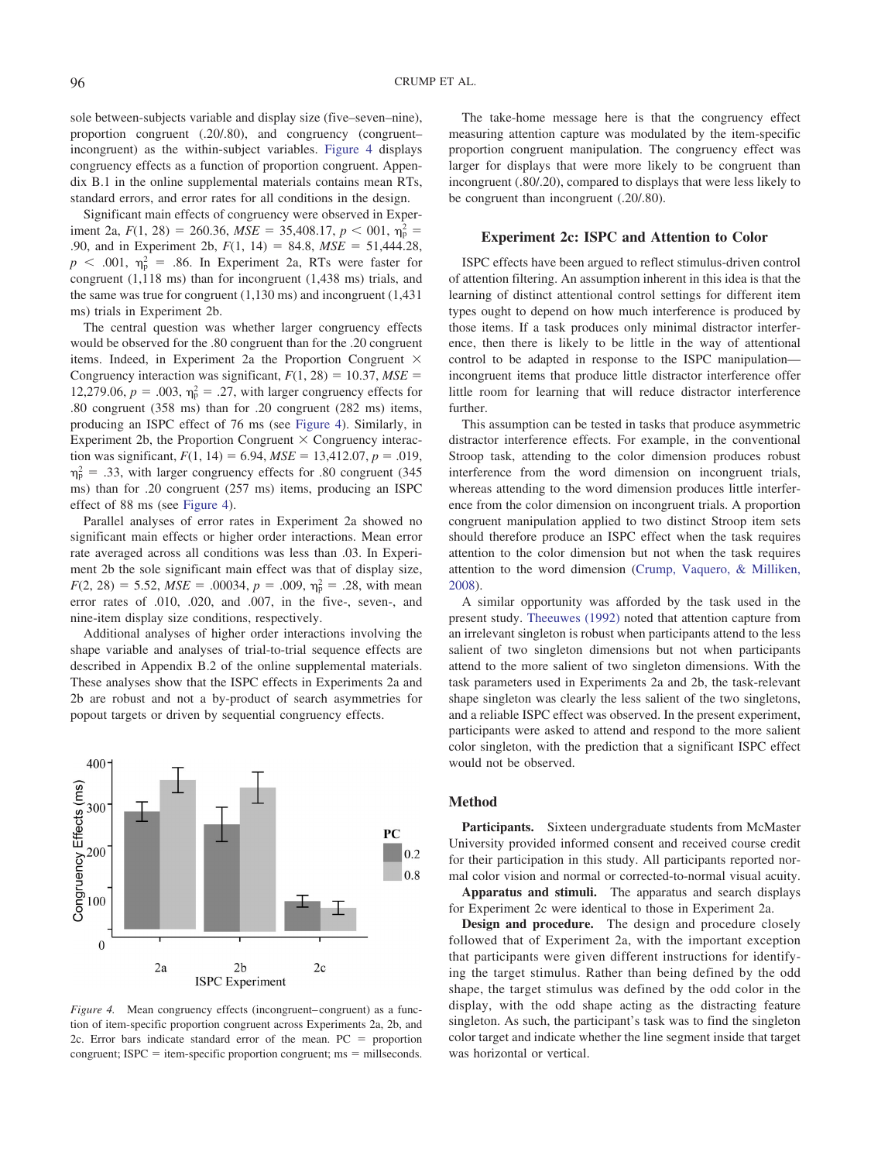sole between-subjects variable and display size (five–seven–nine), proportion congruent (.20/.80), and congruency (congruent– incongruent) as the within-subject variables. [Figure 4](#page-5-0) displays congruency effects as a function of proportion congruent. Appendix B.1 in the online supplemental materials contains mean RTs, standard errors, and error rates for all conditions in the design.

Significant main effects of congruency were observed in Experiment 2a,  $F(1, 28) = 260.36$ ,  $MSE = 35,408.17$ ,  $p < 001$ ,  $\eta_p^2 =$ .90, and in Experiment 2b,  $F(1, 14) = 84.8$ ,  $MSE = 51,444.28$ ,  $p \leq 0.001$ ,  $\eta_p^2 = 0.86$ . In Experiment 2a, RTs were faster for congruent (1,118 ms) than for incongruent (1,438 ms) trials, and the same was true for congruent (1,130 ms) and incongruent (1,431 ms) trials in Experiment 2b.

The central question was whether larger congruency effects would be observed for the .80 congruent than for the .20 congruent items. Indeed, in Experiment 2a the Proportion Congruent  $\times$ Congruency interaction was significant,  $F(1, 28) = 10.37$ ,  $MSE =$ 12,279.06,  $p = .003$ ,  $\eta_p^2 = .27$ , with larger congruency effects for .80 congruent (358 ms) than for .20 congruent (282 ms) items, producing an ISPC effect of 76 ms (see [Figure 4\)](#page-5-0). Similarly, in Experiment 2b, the Proportion Congruent  $\times$  Congruency interaction was significant,  $F(1, 14) = 6.94$ ,  $MSE = 13,412.07$ ,  $p = .019$ ,  $\eta_{\rm p}^2$  = .33, with larger congruency effects for .80 congruent (345) ms) than for .20 congruent (257 ms) items, producing an ISPC effect of 88 ms (see [Figure 4\)](#page-5-0).

Parallel analyses of error rates in Experiment 2a showed no significant main effects or higher order interactions. Mean error rate averaged across all conditions was less than .03. In Experiment 2b the sole significant main effect was that of display size,  $F(2, 28) = 5.52$ ,  $MSE = .00034$ ,  $p = .009$ ,  $\eta_p^2 = .28$ , with mean error rates of .010, .020, and .007, in the five-, seven-, and nine-item display size conditions, respectively.

Additional analyses of higher order interactions involving the shape variable and analyses of trial-to-trial sequence effects are described in Appendix B.2 of the online supplemental materials. These analyses show that the ISPC effects in Experiments 2a and 2b are robust and not a by-product of search asymmetries for popout targets or driven by sequential congruency effects.



<span id="page-5-0"></span>*Figure 4.* Mean congruency effects (incongruent–congruent) as a function of item-specific proportion congruent across Experiments 2a, 2b, and 2c. Error bars indicate standard error of the mean.  $PC =$  proportion  $congruent$ ; ISPC = item-specific proportion congruent;  $ms = milliseconds$ .

The take-home message here is that the congruency effect measuring attention capture was modulated by the item-specific proportion congruent manipulation. The congruency effect was larger for displays that were more likely to be congruent than incongruent (.80/.20), compared to displays that were less likely to be congruent than incongruent (.20/.80).

#### **Experiment 2c: ISPC and Attention to Color**

ISPC effects have been argued to reflect stimulus-driven control of attention filtering. An assumption inherent in this idea is that the learning of distinct attentional control settings for different item types ought to depend on how much interference is produced by those items. If a task produces only minimal distractor interference, then there is likely to be little in the way of attentional control to be adapted in response to the ISPC manipulation incongruent items that produce little distractor interference offer little room for learning that will reduce distractor interference further.

This assumption can be tested in tasks that produce asymmetric distractor interference effects. For example, in the conventional Stroop task, attending to the color dimension produces robust interference from the word dimension on incongruent trials, whereas attending to the word dimension produces little interference from the color dimension on incongruent trials. A proportion congruent manipulation applied to two distinct Stroop item sets should therefore produce an ISPC effect when the task requires attention to the color dimension but not when the task requires attention to the word dimension [\(Crump, Vaquero, & Milliken,](#page-12-14) [2008\)](#page-12-14).

A similar opportunity was afforded by the task used in the present study. [Theeuwes \(1992\)](#page-13-8) noted that attention capture from an irrelevant singleton is robust when participants attend to the less salient of two singleton dimensions but not when participants attend to the more salient of two singleton dimensions. With the task parameters used in Experiments 2a and 2b, the task-relevant shape singleton was clearly the less salient of the two singletons, and a reliable ISPC effect was observed. In the present experiment, participants were asked to attend and respond to the more salient color singleton, with the prediction that a significant ISPC effect would not be observed.

#### **Method**

**Participants.** Sixteen undergraduate students from McMaster University provided informed consent and received course credit for their participation in this study. All participants reported normal color vision and normal or corrected-to-normal visual acuity.

**Apparatus and stimuli.** The apparatus and search displays for Experiment 2c were identical to those in Experiment 2a.

**Design and procedure.** The design and procedure closely followed that of Experiment 2a, with the important exception that participants were given different instructions for identifying the target stimulus. Rather than being defined by the odd shape, the target stimulus was defined by the odd color in the display, with the odd shape acting as the distracting feature singleton. As such, the participant's task was to find the singleton color target and indicate whether the line segment inside that target was horizontal or vertical.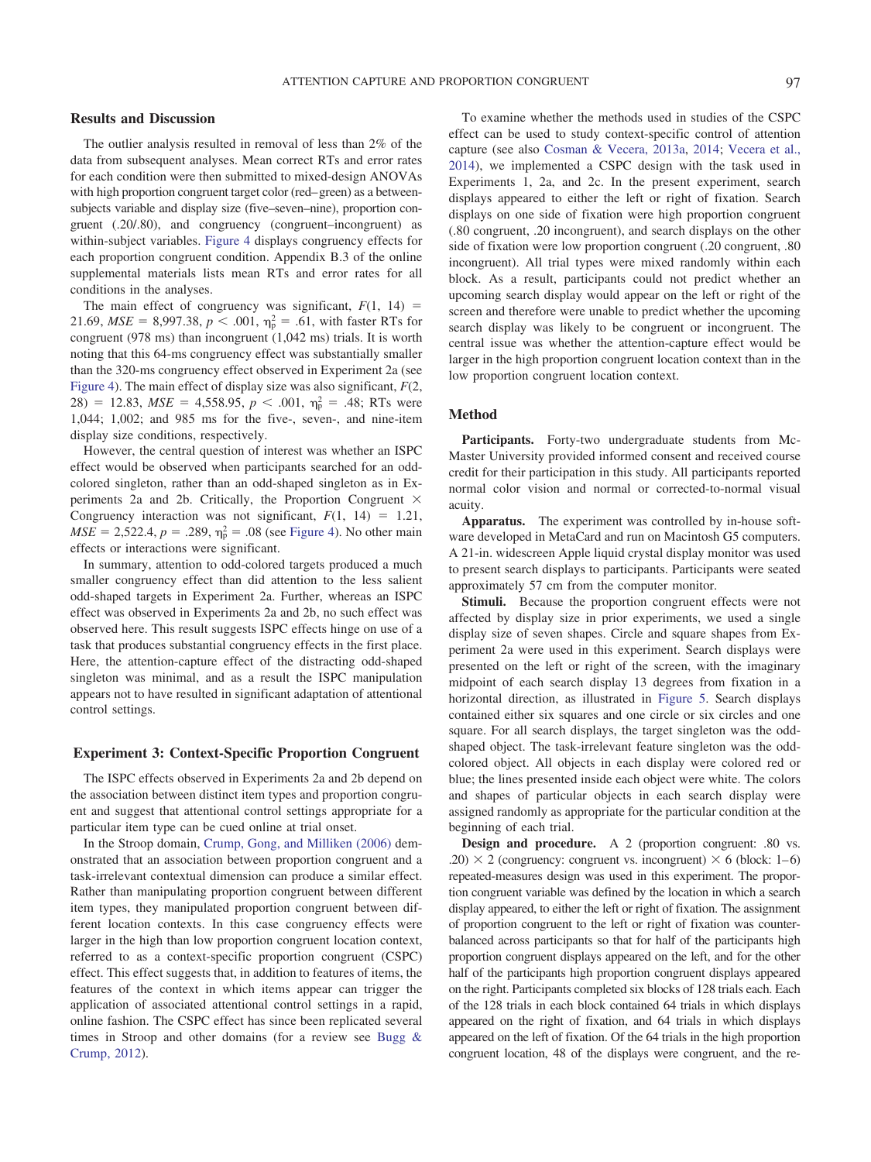#### **Results and Discussion**

The outlier analysis resulted in removal of less than 2% of the data from subsequent analyses. Mean correct RTs and error rates for each condition were then submitted to mixed-design ANOVAs with high proportion congruent target color (red– green) as a betweensubjects variable and display size (five–seven–nine), proportion congruent (.20/.80), and congruency (congruent–incongruent) as within-subject variables. [Figure 4](#page-5-0) displays congruency effects for each proportion congruent condition. Appendix B.3 of the online supplemental materials lists mean RTs and error rates for all conditions in the analyses.

The main effect of congruency was significant,  $F(1, 14) =$ 21.69,  $MSE = 8,997.38, p < .001, \eta_p^2 = .61$ , with faster RTs for congruent (978 ms) than incongruent (1,042 ms) trials. It is worth noting that this 64-ms congruency effect was substantially smaller than the 320-ms congruency effect observed in Experiment 2a (see [Figure 4\)](#page-5-0). The main effect of display size was also significant, *F*(2, 28) = 12.83,  $MSE = 4,558.95, p < .001, \eta_{p}^{2} = .48; RTs$  were 1,044; 1,002; and 985 ms for the five-, seven-, and nine-item display size conditions, respectively.

However, the central question of interest was whether an ISPC effect would be observed when participants searched for an oddcolored singleton, rather than an odd-shaped singleton as in Experiments 2a and 2b. Critically, the Proportion Congruent  $\times$ Congruency interaction was not significant,  $F(1, 14) = 1.21$ ,  $MSE = 2,522.4, p = .289, \eta_p^2 = .08$  (see [Figure 4\)](#page-5-0). No other main effects or interactions were significant.

In summary, attention to odd-colored targets produced a much smaller congruency effect than did attention to the less salient odd-shaped targets in Experiment 2a. Further, whereas an ISPC effect was observed in Experiments 2a and 2b, no such effect was observed here. This result suggests ISPC effects hinge on use of a task that produces substantial congruency effects in the first place. Here, the attention-capture effect of the distracting odd-shaped singleton was minimal, and as a result the ISPC manipulation appears not to have resulted in significant adaptation of attentional control settings.

#### **Experiment 3: Context-Specific Proportion Congruent**

The ISPC effects observed in Experiments 2a and 2b depend on the association between distinct item types and proportion congruent and suggest that attentional control settings appropriate for a particular item type can be cued online at trial onset.

In the Stroop domain, [Crump, Gong, and Milliken \(2006\)](#page-12-15) demonstrated that an association between proportion congruent and a task-irrelevant contextual dimension can produce a similar effect. Rather than manipulating proportion congruent between different item types, they manipulated proportion congruent between different location contexts. In this case congruency effects were larger in the high than low proportion congruent location context, referred to as a context-specific proportion congruent (CSPC) effect. This effect suggests that, in addition to features of items, the features of the context in which items appear can trigger the application of associated attentional control settings in a rapid, online fashion. The CSPC effect has since been replicated several times in Stroop and other domains (for a review see [Bugg &](#page-12-2) [Crump, 2012\)](#page-12-2).

To examine whether the methods used in studies of the CSPC effect can be used to study context-specific control of attention capture (see also [Cosman & Vecera, 2013a,](#page-12-7) [2014;](#page-12-8) [Vecera et al.,](#page-13-3) [2014\)](#page-13-3), we implemented a CSPC design with the task used in Experiments 1, 2a, and 2c. In the present experiment, search displays appeared to either the left or right of fixation. Search displays on one side of fixation were high proportion congruent (.80 congruent, .20 incongruent), and search displays on the other side of fixation were low proportion congruent (.20 congruent, .80 incongruent). All trial types were mixed randomly within each block. As a result, participants could not predict whether an upcoming search display would appear on the left or right of the screen and therefore were unable to predict whether the upcoming search display was likely to be congruent or incongruent. The central issue was whether the attention-capture effect would be larger in the high proportion congruent location context than in the low proportion congruent location context.

#### **Method**

**Participants.** Forty-two undergraduate students from Mc-Master University provided informed consent and received course credit for their participation in this study. All participants reported normal color vision and normal or corrected-to-normal visual acuity.

**Apparatus.** The experiment was controlled by in-house software developed in MetaCard and run on Macintosh G5 computers. A 21-in. widescreen Apple liquid crystal display monitor was used to present search displays to participants. Participants were seated approximately 57 cm from the computer monitor.

**Stimuli.** Because the proportion congruent effects were not affected by display size in prior experiments, we used a single display size of seven shapes. Circle and square shapes from Experiment 2a were used in this experiment. Search displays were presented on the left or right of the screen, with the imaginary midpoint of each search display 13 degrees from fixation in a horizontal direction, as illustrated in [Figure 5.](#page-7-0) Search displays contained either six squares and one circle or six circles and one square. For all search displays, the target singleton was the oddshaped object. The task-irrelevant feature singleton was the oddcolored object. All objects in each display were colored red or blue; the lines presented inside each object were white. The colors and shapes of particular objects in each search display were assigned randomly as appropriate for the particular condition at the beginning of each trial.

**Design and procedure.** A 2 (proportion congruent: .80 vs. .20)  $\times$  2 (congruency: congruent vs. incongruent)  $\times$  6 (block: 1–6) repeated-measures design was used in this experiment. The proportion congruent variable was defined by the location in which a search display appeared, to either the left or right of fixation. The assignment of proportion congruent to the left or right of fixation was counterbalanced across participants so that for half of the participants high proportion congruent displays appeared on the left, and for the other half of the participants high proportion congruent displays appeared on the right. Participants completed six blocks of 128 trials each. Each of the 128 trials in each block contained 64 trials in which displays appeared on the right of fixation, and 64 trials in which displays appeared on the left of fixation. Of the 64 trials in the high proportion congruent location, 48 of the displays were congruent, and the re-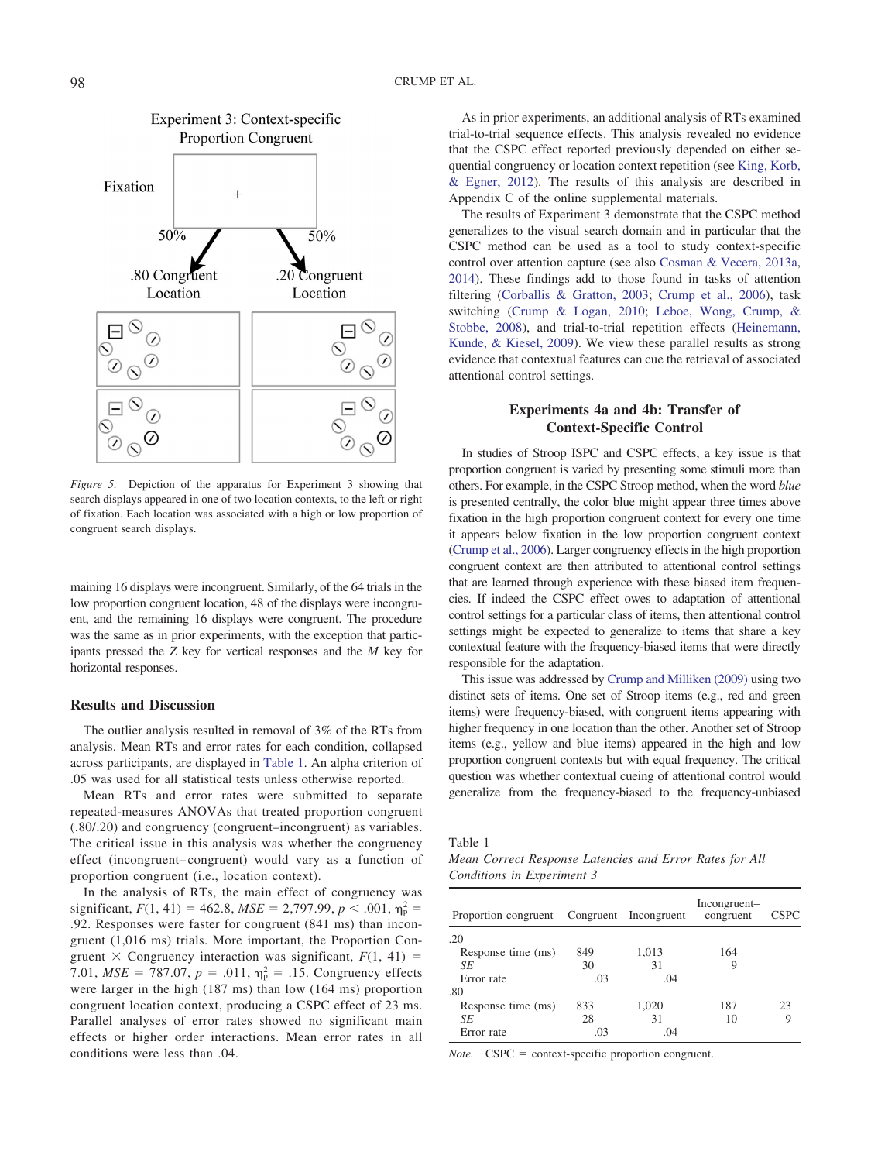

<span id="page-7-0"></span>*Figure 5.* Depiction of the apparatus for Experiment 3 showing that search displays appeared in one of two location contexts, to the left or right of fixation. Each location was associated with a high or low proportion of congruent search displays.

maining 16 displays were incongruent. Similarly, of the 64 trials in the low proportion congruent location, 48 of the displays were incongruent, and the remaining 16 displays were congruent. The procedure was the same as in prior experiments, with the exception that participants pressed the *Z* key for vertical responses and the *M* key for horizontal responses.

# **Results and Discussion**

 $\odot$ 

The outlier analysis resulted in removal of 3% of the RTs from analysis. Mean RTs and error rates for each condition, collapsed across participants, are displayed in [Table 1.](#page-7-1) An alpha criterion of .05 was used for all statistical tests unless otherwise reported.

Mean RTs and error rates were submitted to separate repeated-measures ANOVAs that treated proportion congruent (.80/.20) and congruency (congruent–incongruent) as variables. The critical issue in this analysis was whether the congruency effect (incongruent– congruent) would vary as a function of proportion congruent (i.e., location context).

In the analysis of RTs, the main effect of congruency was significant,  $F(1, 41) = 462.8$ ,  $MSE = 2,797.99$ ,  $p < .001$ ,  $\eta_p^2 =$ .92. Responses were faster for congruent (841 ms) than incongruent (1,016 ms) trials. More important, the Proportion Congruent  $\times$  Congruency interaction was significant,  $F(1, 41) =$ 7.01,  $MSE = 787.07$ ,  $p = .011$ ,  $\eta_p^2 = .15$ . Congruency effects were larger in the high (187 ms) than low (164 ms) proportion congruent location context, producing a CSPC effect of 23 ms. Parallel analyses of error rates showed no significant main effects or higher order interactions. Mean error rates in all conditions were less than .04.

As in prior experiments, an additional analysis of RTs examined trial-to-trial sequence effects. This analysis revealed no evidence that the CSPC effect reported previously depended on either sequential congruency or location context repetition (see [King, Korb,](#page-13-17) [& Egner, 2012\)](#page-13-17). The results of this analysis are described in Appendix C of the online supplemental materials.

The results of Experiment 3 demonstrate that the CSPC method generalizes to the visual search domain and in particular that the CSPC method can be used as a tool to study context-specific control over attention capture (see also [Cosman & Vecera, 2013a,](#page-12-7) [2014\)](#page-12-8). These findings add to those found in tasks of attention filtering [\(Corballis & Gratton, 2003;](#page-12-16) [Crump et al., 2006\)](#page-12-15), task switching [\(Crump & Logan, 2010;](#page-12-17) [Leboe, Wong, Crump, &](#page-13-18) [Stobbe, 2008\)](#page-13-18), and trial-to-trial repetition effects [\(Heinemann,](#page-12-18) [Kunde, & Kiesel, 2009\)](#page-12-18). We view these parallel results as strong evidence that contextual features can cue the retrieval of associated attentional control settings.

# **Experiments 4a and 4b: Transfer of Context-Specific Control**

In studies of Stroop ISPC and CSPC effects, a key issue is that proportion congruent is varied by presenting some stimuli more than others. For example, in the CSPC Stroop method, when the word *blue* is presented centrally, the color blue might appear three times above fixation in the high proportion congruent context for every one time it appears below fixation in the low proportion congruent context [\(Crump et al., 2006\)](#page-12-15). Larger congruency effects in the high proportion congruent context are then attributed to attentional control settings that are learned through experience with these biased item frequencies. If indeed the CSPC effect owes to adaptation of attentional control settings for a particular class of items, then attentional control settings might be expected to generalize to items that share a key contextual feature with the frequency-biased items that were directly responsible for the adaptation.

This issue was addressed by [Crump and Milliken \(2009\)](#page-12-19) using two distinct sets of items. One set of Stroop items (e.g., red and green items) were frequency-biased, with congruent items appearing with higher frequency in one location than the other. Another set of Stroop items (e.g., yellow and blue items) appeared in the high and low proportion congruent contexts but with equal frequency. The critical question was whether contextual cueing of attentional control would generalize from the frequency-biased to the frequency-unbiased

<span id="page-7-1"></span>Table 1

*Mean Correct Response Latencies and Error Rates for All Conditions in Experiment 3*

| Proportion congruent Congruent Incongruent |     |       | Incongruent-<br>congruent | <b>CSPC</b> |
|--------------------------------------------|-----|-------|---------------------------|-------------|
| .20                                        |     |       |                           |             |
| Response time (ms)                         | 849 | 1,013 | 164                       |             |
| SE                                         | 30  | 31    |                           |             |
| Error rate                                 | .03 | .04   |                           |             |
| .80                                        |     |       |                           |             |
| Response time (ms)                         | 833 | 1,020 | 187                       | 23          |
| SE                                         | 28  | 31    | 10                        | O)          |
| Error rate                                 | .03 | .04   |                           |             |

*Note.* CSPC = context-specific proportion congruent.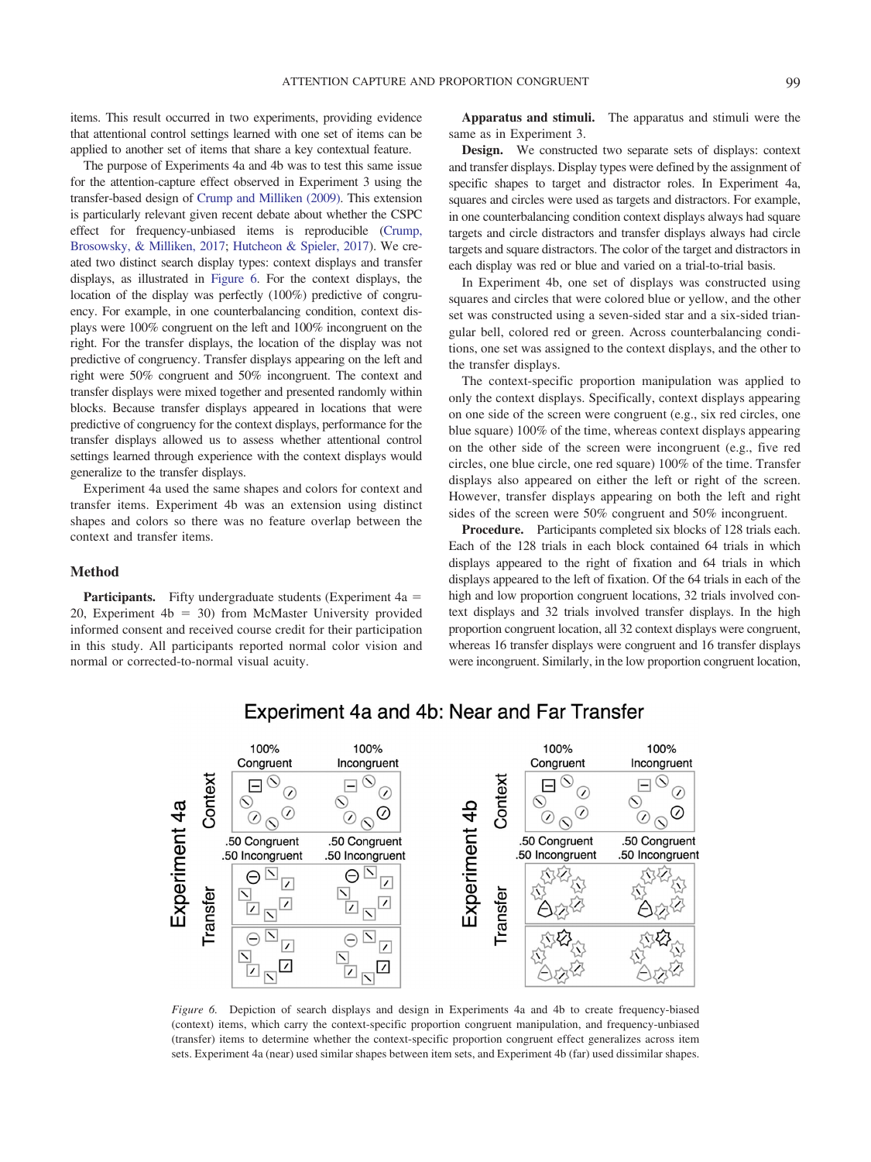items. This result occurred in two experiments, providing evidence that attentional control settings learned with one set of items can be applied to another set of items that share a key contextual feature.

The purpose of Experiments 4a and 4b was to test this same issue for the attention-capture effect observed in Experiment 3 using the transfer-based design of [Crump and Milliken \(2009\).](#page-12-19) This extension is particularly relevant given recent debate about whether the CSPC effect for frequency-unbiased items is reproducible [\(Crump,](#page-12-20) [Brosowsky, & Milliken, 2017;](#page-12-20) [Hutcheon & Spieler, 2017\)](#page-12-21). We created two distinct search display types: context displays and transfer displays, as illustrated in [Figure 6.](#page-8-0) For the context displays, the location of the display was perfectly (100%) predictive of congruency. For example, in one counterbalancing condition, context displays were 100% congruent on the left and 100% incongruent on the right. For the transfer displays, the location of the display was not predictive of congruency. Transfer displays appearing on the left and right were 50% congruent and 50% incongruent. The context and transfer displays were mixed together and presented randomly within blocks. Because transfer displays appeared in locations that were predictive of congruency for the context displays, performance for the transfer displays allowed us to assess whether attentional control settings learned through experience with the context displays would generalize to the transfer displays.

Experiment 4a used the same shapes and colors for context and transfer items. Experiment 4b was an extension using distinct shapes and colors so there was no feature overlap between the context and transfer items.

#### **Method**

**Participants.** Fifty undergraduate students (Experiment 4a = 20, Experiment  $4b = 30$ ) from McMaster University provided informed consent and received course credit for their participation in this study. All participants reported normal color vision and normal or corrected-to-normal visual acuity.

**Apparatus and stimuli.** The apparatus and stimuli were the same as in Experiment 3.

**Design.** We constructed two separate sets of displays: context and transfer displays. Display types were defined by the assignment of specific shapes to target and distractor roles. In Experiment 4a, squares and circles were used as targets and distractors. For example, in one counterbalancing condition context displays always had square targets and circle distractors and transfer displays always had circle targets and square distractors. The color of the target and distractors in each display was red or blue and varied on a trial-to-trial basis.

In Experiment 4b, one set of displays was constructed using squares and circles that were colored blue or yellow, and the other set was constructed using a seven-sided star and a six-sided triangular bell, colored red or green. Across counterbalancing conditions, one set was assigned to the context displays, and the other to the transfer displays.

The context-specific proportion manipulation was applied to only the context displays. Specifically, context displays appearing on one side of the screen were congruent (e.g., six red circles, one blue square) 100% of the time, whereas context displays appearing on the other side of the screen were incongruent (e.g., five red circles, one blue circle, one red square) 100% of the time. Transfer displays also appeared on either the left or right of the screen. However, transfer displays appearing on both the left and right sides of the screen were 50% congruent and 50% incongruent.

**Procedure.** Participants completed six blocks of 128 trials each. Each of the 128 trials in each block contained 64 trials in which displays appeared to the right of fixation and 64 trials in which displays appeared to the left of fixation. Of the 64 trials in each of the high and low proportion congruent locations, 32 trials involved context displays and 32 trials involved transfer displays. In the high proportion congruent location, all 32 context displays were congruent, whereas 16 transfer displays were congruent and 16 transfer displays were incongruent. Similarly, in the low proportion congruent location,



# Experiment 4a and 4b: Near and Far Transfer

<span id="page-8-0"></span>*Figure 6.* Depiction of search displays and design in Experiments 4a and 4b to create frequency-biased (context) items, which carry the context-specific proportion congruent manipulation, and frequency-unbiased (transfer) items to determine whether the context-specific proportion congruent effect generalizes across item sets. Experiment 4a (near) used similar shapes between item sets, and Experiment 4b (far) used dissimilar shapes.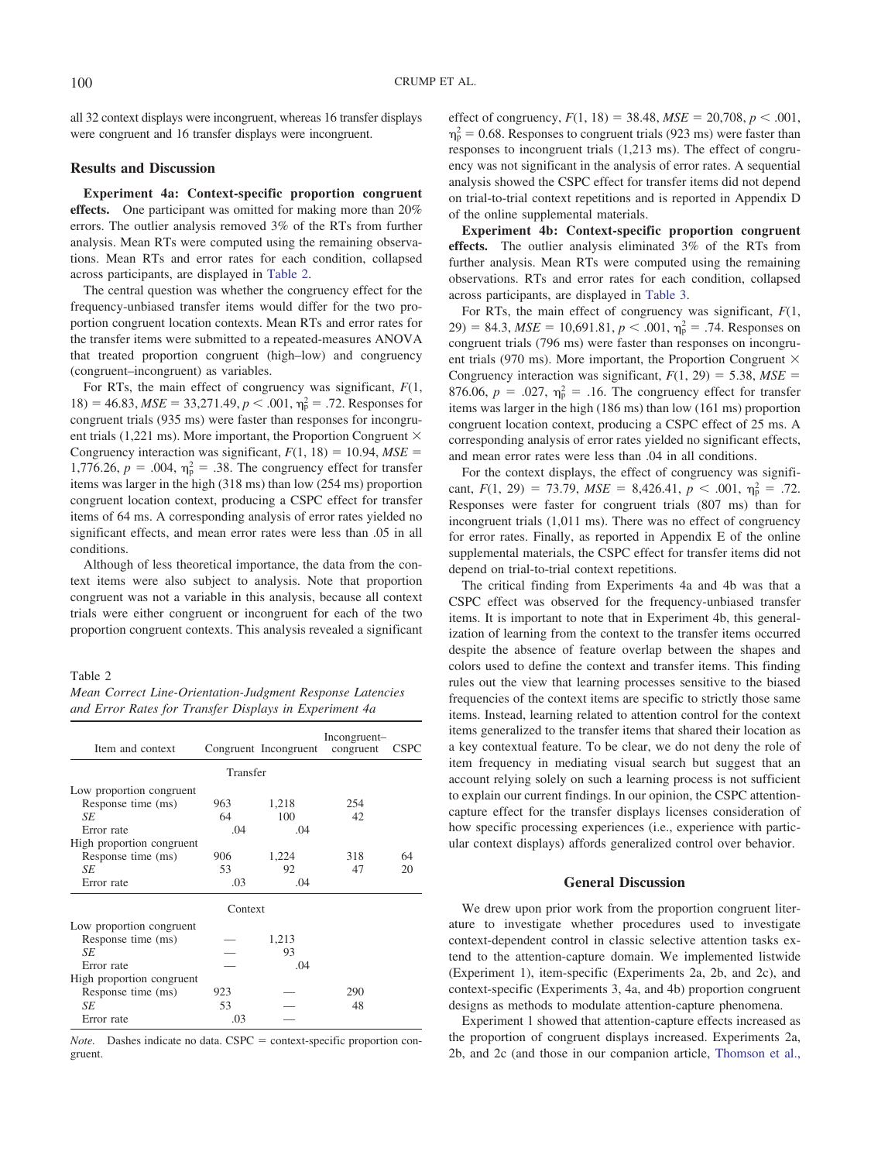all 32 context displays were incongruent, whereas 16 transfer displays were congruent and 16 transfer displays were incongruent.

# **Results and Discussion**

**Experiment 4a: Context-specific proportion congruent effects.** One participant was omitted for making more than 20% errors. The outlier analysis removed 3% of the RTs from further analysis. Mean RTs were computed using the remaining observations. Mean RTs and error rates for each condition, collapsed across participants, are displayed in [Table 2.](#page-9-0)

The central question was whether the congruency effect for the frequency-unbiased transfer items would differ for the two proportion congruent location contexts. Mean RTs and error rates for the transfer items were submitted to a repeated-measures ANOVA that treated proportion congruent (high–low) and congruency (congruent–incongruent) as variables.

For RTs, the main effect of congruency was significant, *F*(1,  $18$  = 46.83, *MSE* = 33,271.49, *p* < .001,  $\eta_p^2$  = .72. Responses for congruent trials (935 ms) were faster than responses for incongruent trials (1,221 ms). More important, the Proportion Congruent  $\times$ Congruency interaction was significant,  $F(1, 18) = 10.94$ ,  $MSE =$ 1,776.26,  $p = .004$ ,  $\eta_p^2 = .38$ . The congruency effect for transfer items was larger in the high (318 ms) than low (254 ms) proportion congruent location context, producing a CSPC effect for transfer items of 64 ms. A corresponding analysis of error rates yielded no significant effects, and mean error rates were less than .05 in all conditions.

Although of less theoretical importance, the data from the context items were also subject to analysis. Note that proportion congruent was not a variable in this analysis, because all context trials were either congruent or incongruent for each of the two proportion congruent contexts. This analysis revealed a significant

#### <span id="page-9-0"></span>Table 2

|  |  | Mean Correct Line-Orientation-Judgment Response Latencies |  |  |
|--|--|-----------------------------------------------------------|--|--|
|  |  | and Error Rates for Transfer Displays in Experiment 4a    |  |  |

| Item and context          |          | Congruent Incongruent | Incongruent-<br>congruent | <b>CSPC</b> |
|---------------------------|----------|-----------------------|---------------------------|-------------|
|                           | Transfer |                       |                           |             |
| Low proportion congruent  |          |                       |                           |             |
| Response time (ms)        | 963      | 1,218                 | 254                       |             |
| SE                        | 64       | 100                   | 42                        |             |
| Error rate                | .04      | .04                   |                           |             |
| High proportion congruent |          |                       |                           |             |
| Response time (ms)        | 906      | 1,224                 | 318                       | 64          |
| SЕ                        | 53       | 92                    | 47                        | 20          |
| Error rate                | .03      | .04                   |                           |             |
|                           | Context  |                       |                           |             |
| Low proportion congruent  |          |                       |                           |             |
| Response time (ms)        |          | 1,213                 |                           |             |
| SE                        |          | 93                    |                           |             |
| Error rate                |          | .04                   |                           |             |
| High proportion congruent |          |                       |                           |             |
| Response time (ms)        | 923      |                       | 290                       |             |
| SЕ                        | 53       |                       | 48                        |             |
| Error rate                | .03      |                       |                           |             |

*Note.* Dashes indicate no data. CSPC = context-specific proportion congruent.

effect of congruency,  $F(1, 18) = 38.48$ ,  $MSE = 20,708$ ,  $p < .001$ ,  $\eta_{\rm p}^2$  = 0.68. Responses to congruent trials (923 ms) were faster than responses to incongruent trials (1,213 ms). The effect of congruency was not significant in the analysis of error rates. A sequential analysis showed the CSPC effect for transfer items did not depend on trial-to-trial context repetitions and is reported in Appendix D of the online supplemental materials.

**Experiment 4b: Context-specific proportion congruent effects.** The outlier analysis eliminated 3% of the RTs from further analysis. Mean RTs were computed using the remaining observations. RTs and error rates for each condition, collapsed across participants, are displayed in [Table 3.](#page-10-0)

For RTs, the main effect of congruency was significant, *F*(1,  $(29) = 84.3, MSE = 10,691.81, p < .001, \eta_p^2 = .74.$  Responses on congruent trials (796 ms) were faster than responses on incongruent trials (970 ms). More important, the Proportion Congruent  $\times$ Congruency interaction was significant,  $F(1, 29) = 5.38$ ,  $MSE =$ 876.06,  $p = .027$ ,  $\eta_p^2 = .16$ . The congruency effect for transfer items was larger in the high (186 ms) than low (161 ms) proportion congruent location context, producing a CSPC effect of 25 ms. A corresponding analysis of error rates yielded no significant effects, and mean error rates were less than .04 in all conditions.

For the context displays, the effect of congruency was significant,  $F(1, 29) = 73.79$ ,  $MSE = 8,426.41$ ,  $p < .001$ ,  $\eta_p^2 = .72$ . Responses were faster for congruent trials (807 ms) than for incongruent trials (1,011 ms). There was no effect of congruency for error rates. Finally, as reported in Appendix E of the online supplemental materials, the CSPC effect for transfer items did not depend on trial-to-trial context repetitions.

The critical finding from Experiments 4a and 4b was that a CSPC effect was observed for the frequency-unbiased transfer items. It is important to note that in Experiment 4b, this generalization of learning from the context to the transfer items occurred despite the absence of feature overlap between the shapes and colors used to define the context and transfer items. This finding rules out the view that learning processes sensitive to the biased frequencies of the context items are specific to strictly those same items. Instead, learning related to attention control for the context items generalized to the transfer items that shared their location as a key contextual feature. To be clear, we do not deny the role of item frequency in mediating visual search but suggest that an account relying solely on such a learning process is not sufficient to explain our current findings. In our opinion, the CSPC attentioncapture effect for the transfer displays licenses consideration of how specific processing experiences (i.e., experience with particular context displays) affords generalized control over behavior.

#### **General Discussion**

We drew upon prior work from the proportion congruent literature to investigate whether procedures used to investigate context-dependent control in classic selective attention tasks extend to the attention-capture domain. We implemented listwide (Experiment 1), item-specific (Experiments 2a, 2b, and 2c), and context-specific (Experiments 3, 4a, and 4b) proportion congruent designs as methods to modulate attention-capture phenomena.

Experiment 1 showed that attention-capture effects increased as the proportion of congruent displays increased. Experiments 2a, 2b, and 2c (and those in our companion article, [Thomson et al.,](#page-13-6)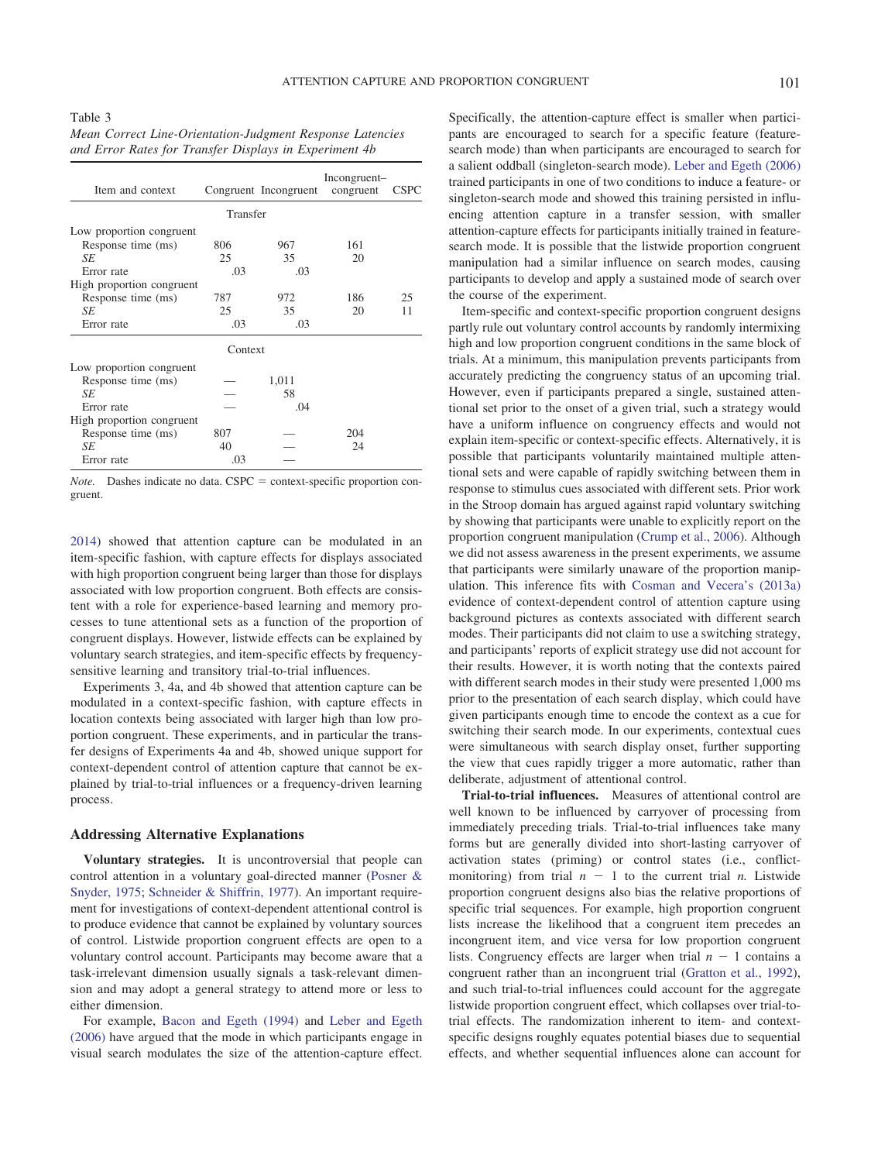<span id="page-10-0"></span>Table 3 *Mean Correct Line-Orientation-Judgment Response Latencies and Error Rates for Transfer Displays in Experiment 4b*

| Item and context          |          | Congruent Incongruent | Incongruent-<br>congruent | <b>CSPC</b> |
|---------------------------|----------|-----------------------|---------------------------|-------------|
|                           | Transfer |                       |                           |             |
| Low proportion congruent  |          |                       |                           |             |
| Response time (ms)        | 806      | 967                   | 161                       |             |
| SE                        | 25       | 35                    | 20                        |             |
| Error rate                | .03      | .03                   |                           |             |
| High proportion congruent |          |                       |                           |             |
| Response time (ms)        | 787      | 972                   | 186                       | 25          |
| SE                        | 25       | 35                    | 20                        | 11          |
| Error rate                | .03      | .03                   |                           |             |
|                           | Context  |                       |                           |             |
| Low proportion congruent  |          |                       |                           |             |
| Response time (ms)        |          | 1,011                 |                           |             |
| SE                        |          | 58                    |                           |             |
| Error rate                |          | .04                   |                           |             |
| High proportion congruent |          |                       |                           |             |
| Response time (ms)        | 807      |                       | 204                       |             |
| SE                        | 40       |                       | 24                        |             |
| Error rate                | .03      |                       |                           |             |

*Note.* Dashes indicate no data. CSPC = context-specific proportion congruent.

[2014\)](#page-13-6) showed that attention capture can be modulated in an item-specific fashion, with capture effects for displays associated with high proportion congruent being larger than those for displays associated with low proportion congruent. Both effects are consistent with a role for experience-based learning and memory processes to tune attentional sets as a function of the proportion of congruent displays. However, listwide effects can be explained by voluntary search strategies, and item-specific effects by frequencysensitive learning and transitory trial-to-trial influences.

Experiments 3, 4a, and 4b showed that attention capture can be modulated in a context-specific fashion, with capture effects in location contexts being associated with larger high than low proportion congruent. These experiments, and in particular the transfer designs of Experiments 4a and 4b, showed unique support for context-dependent control of attention capture that cannot be explained by trial-to-trial influences or a frequency-driven learning process.

#### **Addressing Alternative Explanations**

**Voluntary strategies.** It is uncontroversial that people can control attention in a voluntary goal-directed manner [\(Posner &](#page-13-19) [Snyder, 1975;](#page-13-19) [Schneider & Shiffrin, 1977\)](#page-13-20). An important requirement for investigations of context-dependent attentional control is to produce evidence that cannot be explained by voluntary sources of control. Listwide proportion congruent effects are open to a voluntary control account. Participants may become aware that a task-irrelevant dimension usually signals a task-relevant dimension and may adopt a general strategy to attend more or less to either dimension.

For example, [Bacon and Egeth \(1994\)](#page-12-22) and [Leber and Egeth](#page-13-21) [\(2006\)](#page-13-21) have argued that the mode in which participants engage in visual search modulates the size of the attention-capture effect.

Specifically, the attention-capture effect is smaller when participants are encouraged to search for a specific feature (featuresearch mode) than when participants are encouraged to search for a salient oddball (singleton-search mode). [Leber and Egeth \(2006\)](#page-13-21) trained participants in one of two conditions to induce a feature- or singleton-search mode and showed this training persisted in influencing attention capture in a transfer session, with smaller attention-capture effects for participants initially trained in featuresearch mode. It is possible that the listwide proportion congruent manipulation had a similar influence on search modes, causing participants to develop and apply a sustained mode of search over the course of the experiment.

Item-specific and context-specific proportion congruent designs partly rule out voluntary control accounts by randomly intermixing high and low proportion congruent conditions in the same block of trials. At a minimum, this manipulation prevents participants from accurately predicting the congruency status of an upcoming trial. However, even if participants prepared a single, sustained attentional set prior to the onset of a given trial, such a strategy would have a uniform influence on congruency effects and would not explain item-specific or context-specific effects. Alternatively, it is possible that participants voluntarily maintained multiple attentional sets and were capable of rapidly switching between them in response to stimulus cues associated with different sets. Prior work in the Stroop domain has argued against rapid voluntary switching by showing that participants were unable to explicitly report on the proportion congruent manipulation [\(Crump et al., 2006\)](#page-12-15). Although we did not assess awareness in the present experiments, we assume that participants were similarly unaware of the proportion manipulation. This inference fits with [Cosman and Vecera's \(2013a\)](#page-12-7) evidence of context-dependent control of attention capture using background pictures as contexts associated with different search modes. Their participants did not claim to use a switching strategy, and participants' reports of explicit strategy use did not account for their results. However, it is worth noting that the contexts paired with different search modes in their study were presented 1,000 ms prior to the presentation of each search display, which could have given participants enough time to encode the context as a cue for switching their search mode. In our experiments, contextual cues were simultaneous with search display onset, further supporting the view that cues rapidly trigger a more automatic, rather than deliberate, adjustment of attentional control.

**Trial-to-trial influences.** Measures of attentional control are well known to be influenced by carryover of processing from immediately preceding trials. Trial-to-trial influences take many forms but are generally divided into short-lasting carryover of activation states (priming) or control states (i.e., conflictmonitoring) from trial  $n - 1$  to the current trial *n*. Listwide proportion congruent designs also bias the relative proportions of specific trial sequences. For example, high proportion congruent lists increase the likelihood that a congruent item precedes an incongruent item, and vice versa for low proportion congruent lists. Congruency effects are larger when trial  $n - 1$  contains a congruent rather than an incongruent trial [\(Gratton et al., 1992\)](#page-12-12), and such trial-to-trial influences could account for the aggregate listwide proportion congruent effect, which collapses over trial-totrial effects. The randomization inherent to item- and contextspecific designs roughly equates potential biases due to sequential effects, and whether sequential influences alone can account for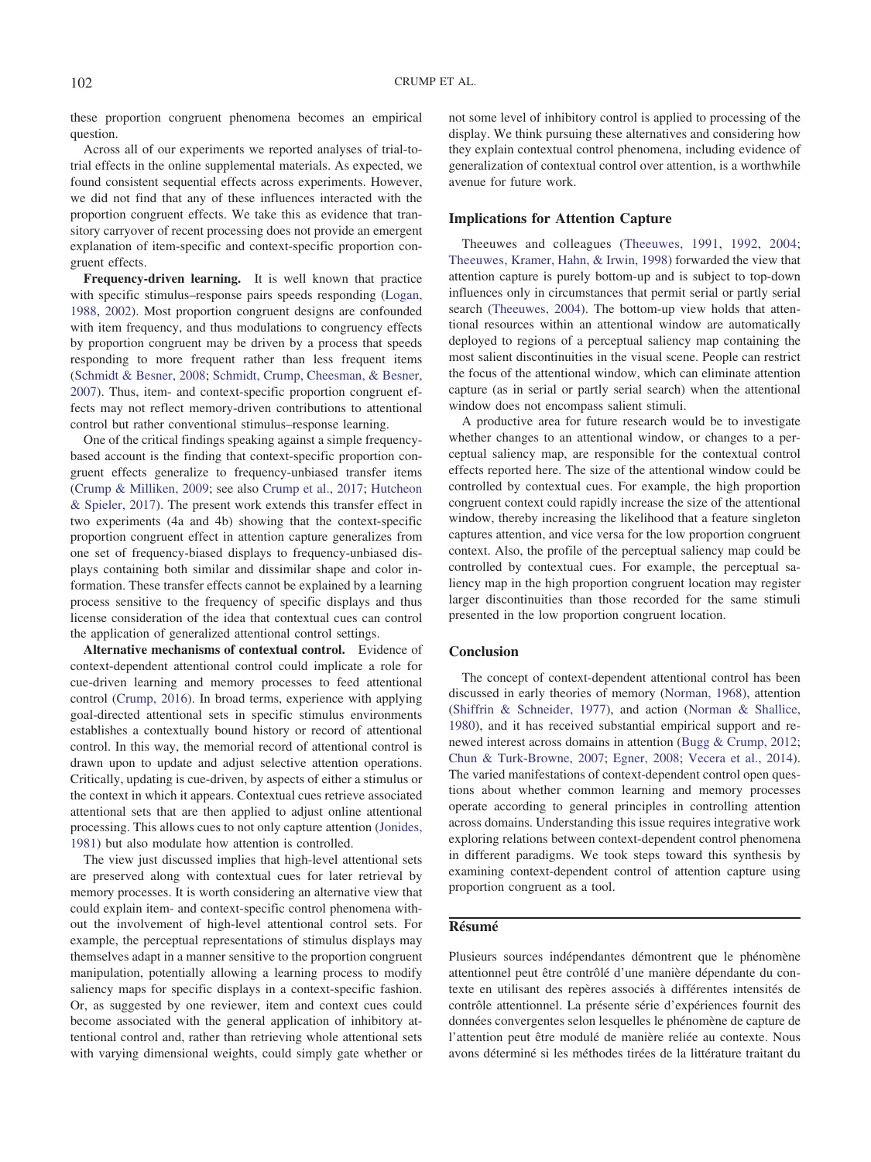these proportion congruent phenomena becomes an empirical question.

Across all of our experiments we reported analyses of trial-totrial effects in the online supplemental materials. As expected, we found consistent sequential effects across experiments. However, we did not find that any of these influences interacted with the proportion congruent effects. We take this as evidence that transitory carryover of recent processing does not provide an emergent explanation of item-specific and context-specific proportion congruent effects.

**Frequency-driven learning.** It is well known that practice with specific stimulus–response pairs speeds responding [\(Logan,](#page-13-22) [1988,](#page-13-22) [2002\)](#page-13-23). Most proportion congruent designs are confounded with item frequency, and thus modulations to congruency effects by proportion congruent may be driven by a process that speeds responding to more frequent rather than less frequent items [\(Schmidt & Besner, 2008;](#page-13-13) [Schmidt, Crump, Cheesman, & Besner,](#page-13-24) [2007\)](#page-13-24). Thus, item- and context-specific proportion congruent effects may not reflect memory-driven contributions to attentional control but rather conventional stimulus–response learning.

One of the critical findings speaking against a simple frequencybased account is the finding that context-specific proportion congruent effects generalize to frequency-unbiased transfer items [\(Crump & Milliken, 2009;](#page-12-19) see also [Crump et al., 2017;](#page-12-20) [Hutcheon](#page-12-21) [& Spieler, 2017\)](#page-12-21). The present work extends this transfer effect in two experiments (4a and 4b) showing that the context-specific proportion congruent effect in attention capture generalizes from one set of frequency-biased displays to frequency-unbiased displays containing both similar and dissimilar shape and color information. These transfer effects cannot be explained by a learning process sensitive to the frequency of specific displays and thus license consideration of the idea that contextual cues can control the application of generalized attentional control settings.

**Alternative mechanisms of contextual control.** Evidence of context-dependent attentional control could implicate a role for cue-driven learning and memory processes to feed attentional control [\(Crump, 2016\)](#page-12-23). In broad terms, experience with applying goal-directed attentional sets in specific stimulus environments establishes a contextually bound history or record of attentional control. In this way, the memorial record of attentional control is drawn upon to update and adjust selective attention operations. Critically, updating is cue-driven, by aspects of either a stimulus or the context in which it appears. Contextual cues retrieve associated attentional sets that are then applied to adjust online attentional processing. This allows cues to not only capture attention [\(Jonides,](#page-12-24) [1981\)](#page-12-24) but also modulate how attention is controlled.

The view just discussed implies that high-level attentional sets are preserved along with contextual cues for later retrieval by memory processes. It is worth considering an alternative view that could explain item- and context-specific control phenomena without the involvement of high-level attentional control sets. For example, the perceptual representations of stimulus displays may themselves adapt in a manner sensitive to the proportion congruent manipulation, potentially allowing a learning process to modify saliency maps for specific displays in a context-specific fashion. Or, as suggested by one reviewer, item and context cues could become associated with the general application of inhibitory attentional control and, rather than retrieving whole attentional sets with varying dimensional weights, could simply gate whether or not some level of inhibitory control is applied to processing of the display. We think pursuing these alternatives and considering how they explain contextual control phenomena, including evidence of generalization of contextual control over attention, is a worthwhile avenue for future work.

# **Implications for Attention Capture**

Theeuwes and colleagues [\(Theeuwes, 1991,](#page-13-7) [1992,](#page-13-8) [2004;](#page-13-25) Theeuwes, [Kramer, Hahn, & Irwin, 1998\)](#page-13-26) forwarded the view that attention capture is purely bottom-up and is subject to top-down influences only in circumstances that permit serial or partly serial search [\(Theeuwes, 2004\)](#page-13-25). The bottom-up view holds that attentional resources within an attentional window are automatically deployed to regions of a perceptual saliency map containing the most salient discontinuities in the visual scene. People can restrict the focus of the attentional window, which can eliminate attention capture (as in serial or partly serial search) when the attentional window does not encompass salient stimuli.

A productive area for future research would be to investigate whether changes to an attentional window, or changes to a perceptual saliency map, are responsible for the contextual control effects reported here. The size of the attentional window could be controlled by contextual cues. For example, the high proportion congruent context could rapidly increase the size of the attentional window, thereby increasing the likelihood that a feature singleton captures attention, and vice versa for the low proportion congruent context. Also, the profile of the perceptual saliency map could be controlled by contextual cues. For example, the perceptual saliency map in the high proportion congruent location may register larger discontinuities than those recorded for the same stimuli presented in the low proportion congruent location.

# **Conclusion**

The concept of context-dependent attentional control has been discussed in early theories of memory [\(Norman, 1968\)](#page-13-0), attention [\(Shiffrin & Schneider, 1977\)](#page-13-1), and action [\(Norman & Shallice,](#page-13-2) [1980\)](#page-13-2), and it has received substantial empirical support and renewed interest across domains in attention [\(Bugg & Crump, 2012;](#page-12-2) [Chun & Turk-Browne, 2007;](#page-12-4) [Egner, 2008;](#page-12-5) [Vecera et al., 2014\)](#page-13-3). The varied manifestations of context-dependent control open questions about whether common learning and memory processes operate according to general principles in controlling attention across domains. Understanding this issue requires integrative work exploring relations between context-dependent control phenomena in different paradigms. We took steps toward this synthesis by examining context-dependent control of attention capture using proportion congruent as a tool.

# **Résumé**

Plusieurs sources indépendantes démontrent que le phénomène attentionnel peut être contrôlé d'une manière dépendante du contexte en utilisant des repères associés a` différentes intensités de contrôle attentionnel. La présente série d'expériences fournit des données convergentes selon lesquelles le phénomène de capture de l'attention peut être modulé de manière reliée au contexte. Nous avons déterminé si les méthodes tirées de la littérature traitant du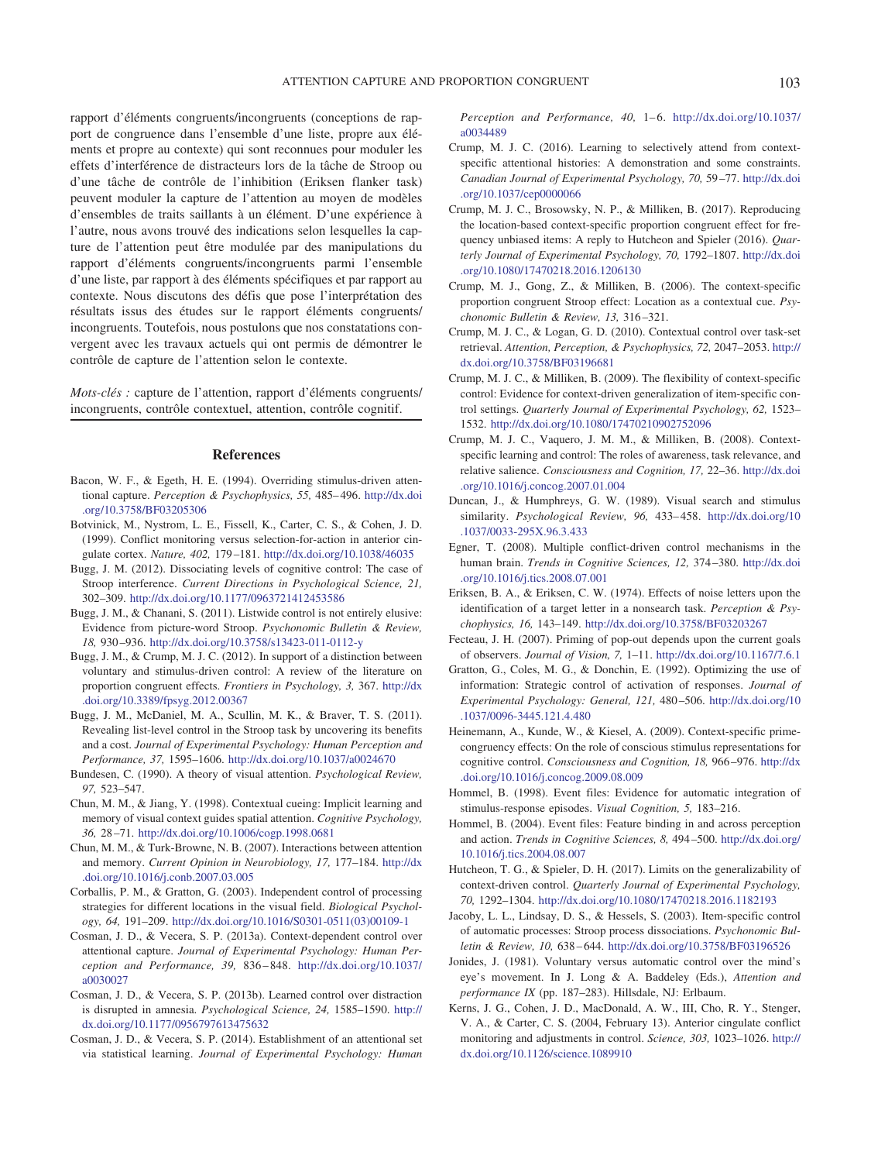rapport d'éléments congruents/incongruents (conceptions de rapport de congruence dans l'ensemble d'une liste, propre aux éléments et propre au contexte) qui sont reconnues pour moduler les effets d'interférence de distracteurs lors de la tâche de Stroop ou d'une tâche de contrôle de l'inhibition (Eriksen flanker task) peuvent moduler la capture de l'attention au moyen de modèles d'ensembles de traits saillants à un élément. D'une expérience à l'autre, nous avons trouvé des indications selon lesquelles la capture de l'attention peut être modulée par des manipulations du rapport d'éléments congruents/incongruents parmi l'ensemble d'une liste, par rapport à des éléments spécifiques et par rapport au contexte. Nous discutons des défis que pose l'interprétation des résultats issus des études sur le rapport éléments congruents/ incongruents. Toutefois, nous postulons que nos constatations convergent avec les travaux actuels qui ont permis de démontrer le contrôle de capture de l'attention selon le contexte.

*Mots-clés :* capture de l'attention, rapport d'éléments congruents/ incongruents, contrôle contextuel, attention, contrôle cognitif.

#### **References**

- <span id="page-12-22"></span>Bacon, W. F., & Egeth, H. E. (1994). Overriding stimulus-driven attentional capture. *Perception & Psychophysics, 55,* 485– 496. [http://dx.doi](http://dx.doi.org/10.3758/BF03205306) [.org/10.3758/BF03205306](http://dx.doi.org/10.3758/BF03205306)
- Botvinick, M., Nystrom, L. E., Fissell, K., Carter, C. S., & Cohen, J. D. (1999). Conflict monitoring versus selection-for-action in anterior cingulate cortex. *Nature, 402,* 179 –181. <http://dx.doi.org/10.1038/46035>
- <span id="page-12-1"></span>Bugg, J. M. (2012). Dissociating levels of cognitive control: The case of Stroop interference. *Current Directions in Psychological Science, 21,* 302–309. <http://dx.doi.org/10.1177/0963721412453586>
- <span id="page-12-10"></span>Bugg, J. M., & Chanani, S. (2011). Listwide control is not entirely elusive: Evidence from picture-word Stroop. *Psychonomic Bulletin & Review, 18,* 930 –936. <http://dx.doi.org/10.3758/s13423-011-0112-y>
- <span id="page-12-2"></span>Bugg, J. M., & Crump, M. J. C. (2012). In support of a distinction between voluntary and stimulus-driven control: A review of the literature on proportion congruent effects. *Frontiers in Psychology, 3,* 367. [http://dx](http://dx.doi.org/10.3389/fpsyg.2012.00367) [.doi.org/10.3389/fpsyg.2012.00367](http://dx.doi.org/10.3389/fpsyg.2012.00367)
- <span id="page-12-11"></span>Bugg, J. M., McDaniel, M. A., Scullin, M. K., & Braver, T. S. (2011). Revealing list-level control in the Stroop task by uncovering its benefits and a cost. *Journal of Experimental Psychology: Human Perception and Performance, 37,* 1595–1606. <http://dx.doi.org/10.1037/a0024670>
- <span id="page-12-0"></span>Bundesen, C. (1990). A theory of visual attention. *Psychological Review, 97,* 523–547.
- <span id="page-12-3"></span>Chun, M. M., & Jiang, Y. (1998). Contextual cueing: Implicit learning and memory of visual context guides spatial attention. *Cognitive Psychology, 36,* 28 –71. <http://dx.doi.org/10.1006/cogp.1998.0681>
- <span id="page-12-4"></span>Chun, M. M., & Turk-Browne, N. B. (2007). Interactions between attention and memory. *Current Opinion in Neurobiology, 17,* 177–184. [http://dx](http://dx.doi.org/10.1016/j.conb.2007.03.005) [.doi.org/10.1016/j.conb.2007.03.005](http://dx.doi.org/10.1016/j.conb.2007.03.005)
- <span id="page-12-16"></span>Corballis, P. M., & Gratton, G. (2003). Independent control of processing strategies for different locations in the visual field. *Biological Psychology, 64,* 191–209. [http://dx.doi.org/10.1016/S0301-0511\(03\)00109-1](http://dx.doi.org/10.1016/S0301-0511%2803%2900109-1)
- <span id="page-12-7"></span>Cosman, J. D., & Vecera, S. P. (2013a). Context-dependent control over attentional capture. *Journal of Experimental Psychology: Human Perception and Performance, 39,* 836 – 848. [http://dx.doi.org/10.1037/](http://dx.doi.org/10.1037/a0030027) [a0030027](http://dx.doi.org/10.1037/a0030027)
- <span id="page-12-9"></span>Cosman, J. D., & Vecera, S. P. (2013b). Learned control over distraction is disrupted in amnesia. *Psychological Science, 24,* 1585–1590. [http://](http://dx.doi.org/10.1177/0956797613475632) [dx.doi.org/10.1177/0956797613475632](http://dx.doi.org/10.1177/0956797613475632)
- <span id="page-12-8"></span>Cosman, J. D., & Vecera, S. P. (2014). Establishment of an attentional set via statistical learning. *Journal of Experimental Psychology: Human*

*Perception and Performance, 40, 1-6. [http://dx.doi.org/10.1037/](http://dx.doi.org/10.1037/a0034489)* [a0034489](http://dx.doi.org/10.1037/a0034489)

- <span id="page-12-23"></span>Crump, M. J. C. (2016). Learning to selectively attend from contextspecific attentional histories: A demonstration and some constraints. *Canadian Journal of Experimental Psychology, 70,* 59 –77. [http://dx.doi](http://dx.doi.org/10.1037/cep0000066) [.org/10.1037/cep0000066](http://dx.doi.org/10.1037/cep0000066)
- <span id="page-12-20"></span>Crump, M. J. C., Brosowsky, N. P., & Milliken, B. (2017). Reproducing the location-based context-specific proportion congruent effect for frequency unbiased items: A reply to Hutcheon and Spieler (2016). *Quarterly Journal of Experimental Psychology, 70,* 1792–1807. [http://dx.doi](http://dx.doi.org/10.1080/17470218.2016.1206130) [.org/10.1080/17470218.2016.1206130](http://dx.doi.org/10.1080/17470218.2016.1206130)
- <span id="page-12-15"></span>Crump, M. J., Gong, Z., & Milliken, B. (2006). The context-specific proportion congruent Stroop effect: Location as a contextual cue. *Psychonomic Bulletin & Review, 13,* 316 –321.
- <span id="page-12-17"></span>Crump, M. J. C., & Logan, G. D. (2010). Contextual control over task-set retrieval. *Attention, Perception, & Psychophysics, 72,* 2047–2053. [http://](http://dx.doi.org/10.3758/BF03196681) [dx.doi.org/10.3758/BF03196681](http://dx.doi.org/10.3758/BF03196681)
- <span id="page-12-19"></span>Crump, M. J. C., & Milliken, B. (2009). The flexibility of context-specific control: Evidence for context-driven generalization of item-specific control settings. *Quarterly Journal of Experimental Psychology, 62,* 1523– 1532. <http://dx.doi.org/10.1080/17470210902752096>
- <span id="page-12-14"></span>Crump, M. J. C., Vaquero, J. M. M., & Milliken, B. (2008). Contextspecific learning and control: The roles of awareness, task relevance, and relative salience. *Consciousness and Cognition, 17,* 22–36. [http://dx.doi](http://dx.doi.org/10.1016/j.concog.2007.01.004) [.org/10.1016/j.concog.2007.01.004](http://dx.doi.org/10.1016/j.concog.2007.01.004)
- Duncan, J., & Humphreys, G. W. (1989). Visual search and stimulus similarity. *Psychological Review, 96,* 433– 458. [http://dx.doi.org/10](http://dx.doi.org/10.1037/0033-295X.96.3.433) [.1037/0033-295X.96.3.433](http://dx.doi.org/10.1037/0033-295X.96.3.433)
- <span id="page-12-5"></span>Egner, T. (2008). Multiple conflict-driven control mechanisms in the human brain. *Trends in Cognitive Sciences, 12,* 374 –380. [http://dx.doi](http://dx.doi.org/10.1016/j.tics.2008.07.001) [.org/10.1016/j.tics.2008.07.001](http://dx.doi.org/10.1016/j.tics.2008.07.001)
- <span id="page-12-6"></span>Eriksen, B. A., & Eriksen, C. W. (1974). Effects of noise letters upon the identification of a target letter in a nonsearch task. *Perception & Psychophysics, 16,* 143–149. <http://dx.doi.org/10.3758/BF03203267>
- Fecteau, J. H. (2007). Priming of pop-out depends upon the current goals of observers. *Journal of Vision, 7,* 1–11. <http://dx.doi.org/10.1167/7.6.1>
- <span id="page-12-12"></span>Gratton, G., Coles, M. G., & Donchin, E. (1992). Optimizing the use of information: Strategic control of activation of responses. *Journal of Experimental Psychology: General, 121,* 480 –506. [http://dx.doi.org/10](http://dx.doi.org/10.1037/0096-3445.121.4.480) [.1037/0096-3445.121.4.480](http://dx.doi.org/10.1037/0096-3445.121.4.480)
- <span id="page-12-18"></span>Heinemann, A., Kunde, W., & Kiesel, A. (2009). Context-specific primecongruency effects: On the role of conscious stimulus representations for cognitive control. *Consciousness and Cognition, 18,* 966 –976. [http://dx](http://dx.doi.org/10.1016/j.concog.2009.08.009) [.doi.org/10.1016/j.concog.2009.08.009](http://dx.doi.org/10.1016/j.concog.2009.08.009)
- Hommel, B. (1998). Event files: Evidence for automatic integration of stimulus-response episodes. *Visual Cognition, 5,* 183–216.
- Hommel, B. (2004). Event files: Feature binding in and across perception and action. *Trends in Cognitive Sciences, 8,* 494 –500. [http://dx.doi.org/](http://dx.doi.org/10.1016/j.tics.2004.08.007) [10.1016/j.tics.2004.08.007](http://dx.doi.org/10.1016/j.tics.2004.08.007)
- <span id="page-12-21"></span>Hutcheon, T. G., & Spieler, D. H. (2017). Limits on the generalizability of context-driven control. *Quarterly Journal of Experimental Psychology, 70,* 1292–1304. <http://dx.doi.org/10.1080/17470218.2016.1182193>
- <span id="page-12-13"></span>Jacoby, L. L., Lindsay, D. S., & Hessels, S. (2003). Item-specific control of automatic processes: Stroop process dissociations. *Psychonomic Bulletin & Review, 10,* 638 – 644. <http://dx.doi.org/10.3758/BF03196526>
- <span id="page-12-24"></span>Jonides, J. (1981). Voluntary versus automatic control over the mind's eye's movement. In J. Long & A. Baddeley (Eds.), *Attention and performance IX* (pp. 187–283). Hillsdale, NJ: Erlbaum.
- Kerns, J. G., Cohen, J. D., MacDonald, A. W., III, Cho, R. Y., Stenger, V. A., & Carter, C. S. (2004, February 13). Anterior cingulate conflict monitoring and adjustments in control. *Science, 303,* 1023–1026. [http://](http://dx.doi.org/10.1126/science.1089910) [dx.doi.org/10.1126/science.1089910](http://dx.doi.org/10.1126/science.1089910)